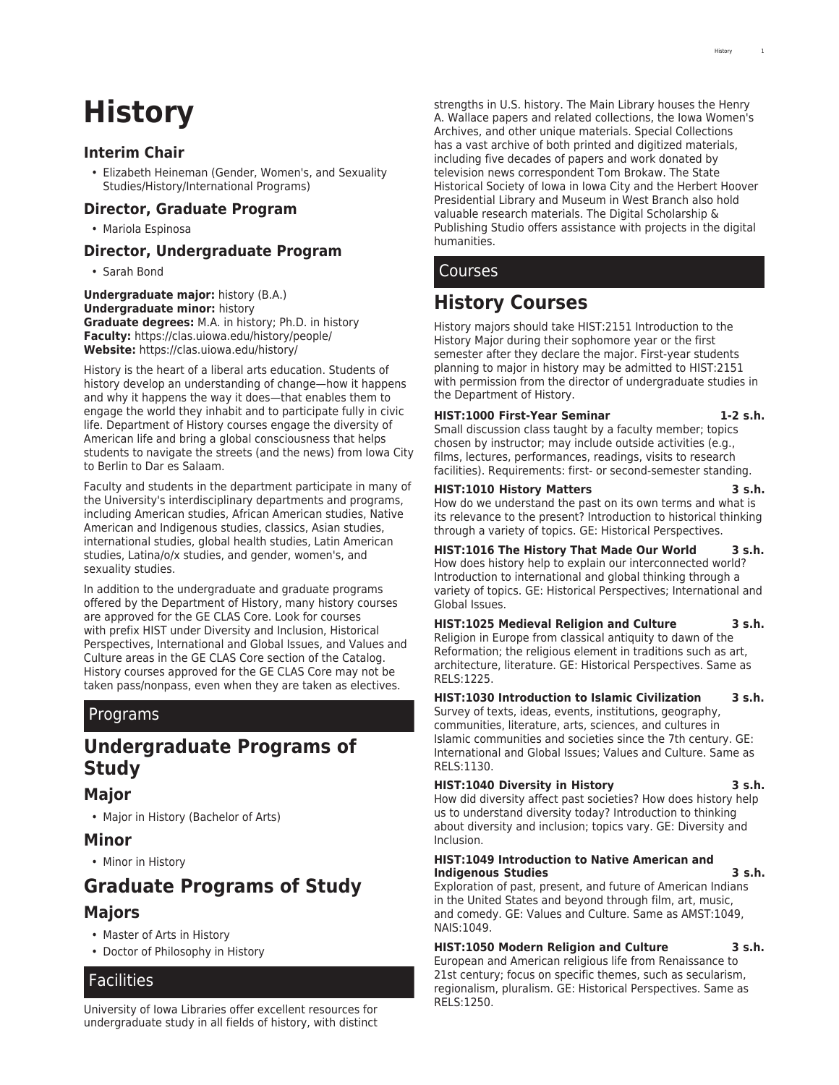# **History**

# **Interim Chair**

• Elizabeth Heineman (Gender, Women's, and Sexuality Studies/History/International Programs)

# **Director, Graduate Program**

• Mariola Espinosa

# **Director, Undergraduate Program**

• Sarah Bond

**Undergraduate major:** history (B.A.) **Undergraduate minor:** history **Graduate degrees:** M.A. in history; Ph.D. in history **Faculty:** <https://clas.uiowa.edu/history/people/> **Website:** <https://clas.uiowa.edu/history/>

History is the heart of a liberal arts education. Students of history develop an understanding of change—how it happens and why it happens the way it does—that enables them to engage the world they inhabit and to participate fully in civic life. Department of History courses engage the diversity of American life and bring a global consciousness that helps students to navigate the streets (and the news) from Iowa City to Berlin to Dar es Salaam.

Faculty and students in the department participate in many of the University's interdisciplinary departments and programs, including American studies, African American studies, Native American and Indigenous studies, classics, Asian studies, international studies, global health studies, Latin American studies, Latina/o/x studies, and gender, women's, and sexuality studies.

In addition to the undergraduate and graduate programs offered by the Department of History, many history courses are approved for the GE CLAS Core. Look for courses with prefix HIST under Diversity and Inclusion, Historical Perspectives, International and Global Issues, and Values and Culture areas in the [GE CLAS Core](http://catalog.registrar.uiowa.edu/liberal-arts-sciences/general-education-program/) section of the Catalog. History courses approved for the GE CLAS Core may not be taken pass/nonpass, even when they are taken as electives.

# Programs

# **Undergraduate Programs of Study**

# **Major**

• [Major in History \(Bachelor of Arts\)](http://catalog.registrar.uiowa.edu/liberal-arts-sciences/history/history-ba/)

# **Minor**

• [Minor in History](http://catalog.registrar.uiowa.edu/liberal-arts-sciences/history/history-minor/)

# **Graduate Programs of Study Majors**

- [Master of Arts in History](http://catalog.registrar.uiowa.edu/liberal-arts-sciences/history/history-ma/)
- [Doctor of Philosophy in History](http://catalog.registrar.uiowa.edu/liberal-arts-sciences/history/history-phd/)

# Facilities

[University of Iowa Libraries](https://www.lib.uiowa.edu/) offer excellent resources for undergraduate study in all fields of history, with distinct strengths in U.S. history. The Main Library houses the Henry A. Wallace papers and related collections, the [Iowa Women's](https://www.lib.uiowa.edu/iwa/) [Archives,](https://www.lib.uiowa.edu/iwa/) and other unique materials. Special Collections has a vast archive of both printed and digitized materials, including five decades of papers and work donated by television news correspondent Tom Brokaw. The [State](https://iowaculture.gov/history/) [Historical Society of Iowa](https://iowaculture.gov/history/) in Iowa City and the [Herbert Hoover](https://hoover.archives.gov/) [Presidential Library and Museum](https://hoover.archives.gov/) in West Branch also hold valuable research materials. The [Digital Scholarship &](https://www.lib.uiowa.edu/studio/) [Publishing Studio](https://www.lib.uiowa.edu/studio/) offers assistance with projects in the digital humanities.

# Courses

# **History Courses**

History majors should take HIST:2151 Introduction to the History Major during their sophomore year or the first semester after they declare the major. First-year students planning to major in history may be admitted to HIST:2151 with permission from the director of undergraduate studies in the Department of History.

### **HIST:1000 First-Year Seminar 1-2 s.h.**

Small discussion class taught by a faculty member; topics chosen by instructor; may include outside activities (e.g., films, lectures, performances, readings, visits to research facilities). Requirements: first- or second-semester standing.

### **HIST:1010 History Matters 3 s.h.**

How do we understand the past on its own terms and what is its relevance to the present? Introduction to historical thinking through a variety of topics. GE: Historical Perspectives.

**HIST:1016 The History That Made Our World 3 s.h.** How does history help to explain our interconnected world? Introduction to international and global thinking through a variety of topics. GE: Historical Perspectives; International and Global Issues.

**HIST:1025 Medieval Religion and Culture 3 s.h.** Religion in Europe from classical antiquity to dawn of the Reformation; the religious element in traditions such as art, architecture, literature. GE: Historical Perspectives. Same as RELS:1225.

**HIST:1030 Introduction to Islamic Civilization 3 s.h.** Survey of texts, ideas, events, institutions, geography, communities, literature, arts, sciences, and cultures in Islamic communities and societies since the 7th century. GE: International and Global Issues; Values and Culture. Same as RELS:1130.

### **HIST:1040 Diversity in History 3 s.h.**

How did diversity affect past societies? How does history help us to understand diversity today? Introduction to thinking about diversity and inclusion; topics vary. GE: Diversity and Inclusion.

### **HIST:1049 Introduction to Native American and Indigenous Studies 3 s.h.**

Exploration of past, present, and future of American Indians in the United States and beyond through film, art, music, and comedy. GE: Values and Culture. Same as AMST:1049, NAIS:1049.

**HIST:1050 Modern Religion and Culture 3 s.h.** European and American religious life from Renaissance to 21st century; focus on specific themes, such as secularism, regionalism, pluralism. GE: Historical Perspectives. Same as RELS:1250.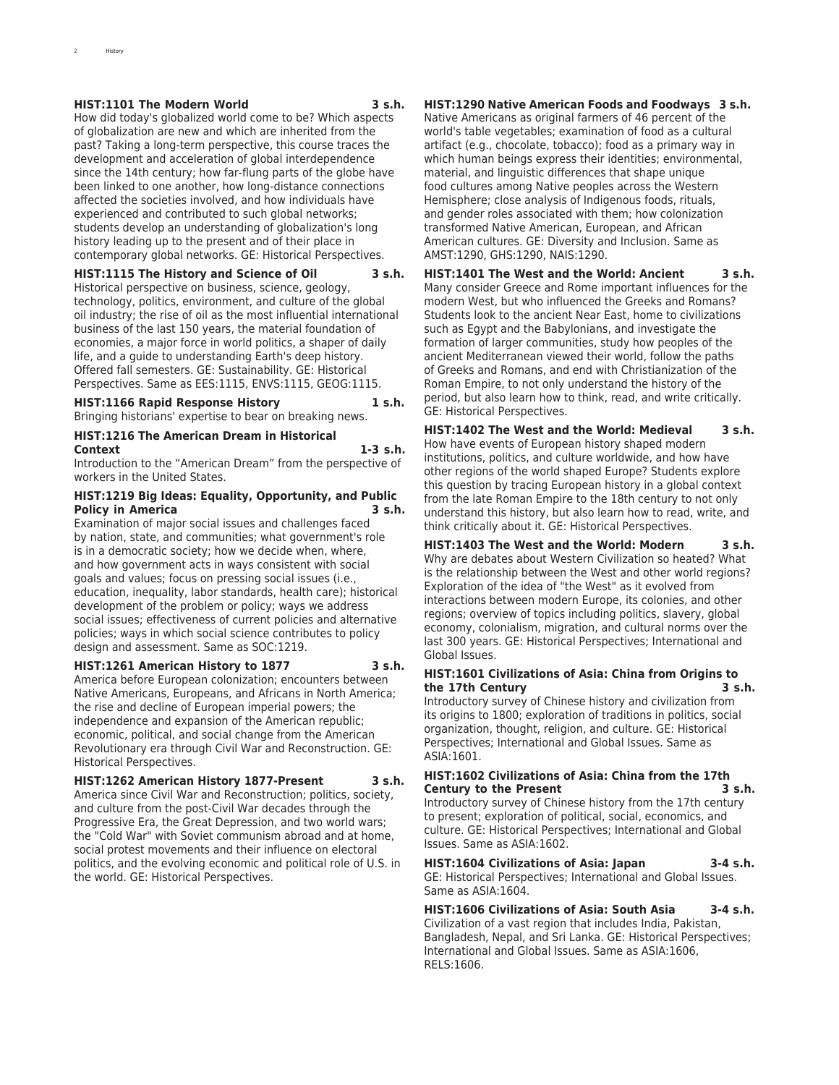### **HIST:1101 The Modern World 3 s.h.**

History

How did today's globalized world come to be? Which aspects of globalization are new and which are inherited from the past? Taking a long-term perspective, this course traces the development and acceleration of global interdependence since the 14th century; how far-flung parts of the globe have been linked to one another, how long-distance connections affected the societies involved, and how individuals have experienced and contributed to such global networks: students develop an understanding of globalization's long history leading up to the present and of their place in contemporary global networks. GE: Historical Perspectives.

### **HIST:1115 The History and Science of Oil 3 s.h.**

Historical perspective on business, science, geology, technology, politics, environment, and culture of the global oil industry; the rise of oil as the most influential international business of the last 150 years, the material foundation of economies, a major force in world politics, a shaper of daily life, and a guide to understanding Earth's deep history. Offered fall semesters. GE: Sustainability. GE: Historical Perspectives. Same as EES:1115, ENVS:1115, GEOG:1115.

### **HIST:1166 Rapid Response History 1 s.h.**

Bringing historians' expertise to bear on breaking news.

# **HIST:1216 The American Dream in Historical**

**Context 1-3 s.h.** Introduction to the "American Dream" from the perspective of workers in the United States.

#### **HIST:1219 Big Ideas: Equality, Opportunity, and Public Policy in America 3 s.h.**

Examination of major social issues and challenges faced by nation, state, and communities; what government's role is in a democratic society; how we decide when, where, and how government acts in ways consistent with social goals and values; focus on pressing social issues (i.e., education, inequality, labor standards, health care); historical development of the problem or policy; ways we address social issues; effectiveness of current policies and alternative policies; ways in which social science contributes to policy design and assessment. Same as SOC:1219.

### **HIST:1261 American History to 1877 3 s.h.**

America before European colonization; encounters between Native Americans, Europeans, and Africans in North America; the rise and decline of European imperial powers; the independence and expansion of the American republic; economic, political, and social change from the American Revolutionary era through Civil War and Reconstruction. GE: Historical Perspectives.

### **HIST:1262 American History 1877-Present 3 s.h.**

America since Civil War and Reconstruction; politics, society, and culture from the post-Civil War decades through the Progressive Era, the Great Depression, and two world wars; the "Cold War" with Soviet communism abroad and at home, social protest movements and their influence on electoral politics, and the evolving economic and political role of U.S. in the world. GE: Historical Perspectives.

### **HIST:1290 Native American Foods and Foodways 3 s.h.**

Native Americans as original farmers of 46 percent of the world's table vegetables; examination of food as a cultural artifact (e.g., chocolate, tobacco); food as a primary way in which human beings express their identities; environmental, material, and linguistic differences that shape unique food cultures among Native peoples across the Western Hemisphere; close analysis of Indigenous foods, rituals, and gender roles associated with them; how colonization transformed Native American, European, and African American cultures. GE: Diversity and Inclusion. Same as AMST:1290, GHS:1290, NAIS:1290.

**HIST:1401 The West and the World: Ancient 3 s.h.** Many consider Greece and Rome important influences for the modern West, but who influenced the Greeks and Romans? Students look to the ancient Near East, home to civilizations such as Egypt and the Babylonians, and investigate the formation of larger communities, study how peoples of the ancient Mediterranean viewed their world, follow the paths of Greeks and Romans, and end with Christianization of the Roman Empire, to not only understand the history of the period, but also learn how to think, read, and write critically. GE: Historical Perspectives.

**HIST:1402 The West and the World: Medieval 3 s.h.** How have events of European history shaped modern institutions, politics, and culture worldwide, and how have other regions of the world shaped Europe? Students explore this question by tracing European history in a global context from the late Roman Empire to the 18th century to not only understand this history, but also learn how to read, write, and think critically about it. GE: Historical Perspectives.

**HIST:1403 The West and the World: Modern 3 s.h.** Why are debates about Western Civilization so heated? What is the relationship between the West and other world regions? Exploration of the idea of "the West" as it evolved from interactions between modern Europe, its colonies, and other regions; overview of topics including politics, slavery, global economy, colonialism, migration, and cultural norms over the last 300 years. GE: Historical Perspectives; International and Global Issues.

### **HIST:1601 Civilizations of Asia: China from Origins to the 17th Century 3 s.h.**

Introductory survey of Chinese history and civilization from its origins to 1800; exploration of traditions in politics, social organization, thought, religion, and culture. GE: Historical Perspectives; International and Global Issues. Same as ASIA:1601.

### **HIST:1602 Civilizations of Asia: China from the 17th Century to the Present**

Introductory survey of Chinese history from the 17th century to present; exploration of political, social, economics, and culture. GE: Historical Perspectives; International and Global Issues. Same as ASIA:1602.

### **HIST:1604 Civilizations of Asia: Japan 3-4 s.h.**

GE: Historical Perspectives; International and Global Issues. Same as ASIA:1604.

**HIST:1606 Civilizations of Asia: South Asia 3-4 s.h.** Civilization of a vast region that includes India, Pakistan, Bangladesh, Nepal, and Sri Lanka. GE: Historical Perspectives; International and Global Issues. Same as ASIA:1606, RELS:1606.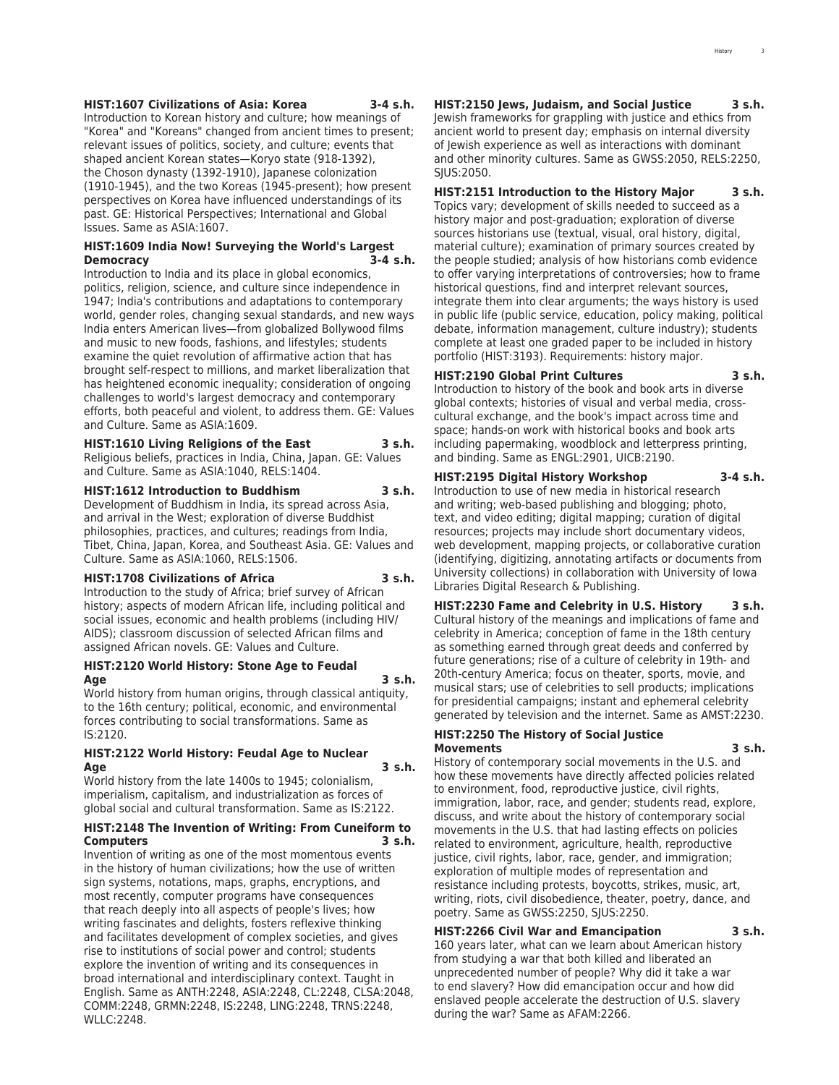#### **HIST:1607 Civilizations of Asia: Korea 3-4 s.h.**

Introduction to Korean history and culture; how meanings of "Korea" and "Koreans" changed from ancient times to present; relevant issues of politics, society, and culture; events that shaped ancient Korean states—Koryo state (918-1392), the Choson dynasty (1392-1910), Japanese colonization (1910-1945), and the two Koreas (1945-present); how present perspectives on Korea have influenced understandings of its past. GE: Historical Perspectives; International and Global Issues. Same as ASIA:1607.

### **HIST:1609 India Now! Surveying the World's Largest Democracy 3-4 s.h.**

Introduction to India and its place in global economics, politics, religion, science, and culture since independence in 1947; India's contributions and adaptations to contemporary world, gender roles, changing sexual standards, and new ways India enters American lives—from globalized Bollywood films and music to new foods, fashions, and lifestyles; students examine the quiet revolution of affirmative action that has brought self-respect to millions, and market liberalization that has heightened economic inequality; consideration of ongoing challenges to world's largest democracy and contemporary efforts, both peaceful and violent, to address them. GE: Values and Culture. Same as ASIA:1609.

### **HIST:1610 Living Religions of the East 3 s.h.** Religious beliefs, practices in India, China, Japan. GE: Values and Culture. Same as ASIA:1040, RELS:1404.

**HIST:1612 Introduction to Buddhism 3 s.h.**

Development of Buddhism in India, its spread across Asia, and arrival in the West; exploration of diverse Buddhist philosophies, practices, and cultures; readings from India, Tibet, China, Japan, Korea, and Southeast Asia. GE: Values and Culture. Same as ASIA:1060, RELS:1506.

#### **HIST:1708 Civilizations of Africa 3 s.h.**

Introduction to the study of Africa; brief survey of African history; aspects of modern African life, including political and social issues, economic and health problems (including HIV/ AIDS); classroom discussion of selected African films and assigned African novels. GE: Values and Culture.

### **HIST:2120 World History: Stone Age to Feudal Age 3 s.h.**

World history from human origins, through classical antiquity, to the 16th century; political, economic, and environmental forces contributing to social transformations. Same as IS:2120.

### **HIST:2122 World History: Feudal Age to Nuclear Age 3 s.h.**

World history from the late 1400s to 1945; colonialism, imperialism, capitalism, and industrialization as forces of global social and cultural transformation. Same as IS:2122.

### **HIST:2148 The Invention of Writing: From Cuneiform to Computers 3 s.h.**

Invention of writing as one of the most momentous events in the history of human civilizations; how the use of written sign systems, notations, maps, graphs, encryptions, and most recently, computer programs have consequences that reach deeply into all aspects of people's lives; how writing fascinates and delights, fosters reflexive thinking and facilitates development of complex societies, and gives rise to institutions of social power and control; students explore the invention of writing and its consequences in broad international and interdisciplinary context. Taught in English. Same as ANTH:2248, ASIA:2248, CL:2248, CLSA:2048, COMM:2248, GRMN:2248, IS:2248, LING:2248, TRNS:2248, WLLC:2248.

**HIST:2150 Jews, Judaism, and Social Justice 3 s.h.** Jewish frameworks for grappling with justice and ethics from ancient world to present day; emphasis on internal diversity of Jewish experience as well as interactions with dominant and other minority cultures. Same as GWSS:2050, RELS:2250, SJUS:2050.

### **HIST:2151 Introduction to the History Major 3 s.h.**

Topics vary; development of skills needed to succeed as a history major and post-graduation; exploration of diverse sources historians use (textual, visual, oral history, digital, material culture); examination of primary sources created by the people studied; analysis of how historians comb evidence to offer varying interpretations of controversies; how to frame historical questions, find and interpret relevant sources, integrate them into clear arguments; the ways history is used in public life (public service, education, policy making, political debate, information management, culture industry); students complete at least one graded paper to be included in history portfolio (HIST:3193). Requirements: history major.

### **HIST:2190 Global Print Cultures 3 s.h.**

Introduction to history of the book and book arts in diverse global contexts; histories of visual and verbal media, crosscultural exchange, and the book's impact across time and space; hands-on work with historical books and book arts including papermaking, woodblock and letterpress printing, and binding. Same as ENGL:2901, UICB:2190.

### **HIST:2195 Digital History Workshop 3-4 s.h.**

Introduction to use of new media in historical research and writing; web-based publishing and blogging; photo, text, and video editing; digital mapping; curation of digital resources; projects may include short documentary videos, web development, mapping projects, or collaborative curation (identifying, digitizing, annotating artifacts or documents from University collections) in collaboration with University of Iowa Libraries Digital Research & Publishing.

**HIST:2230 Fame and Celebrity in U.S. History 3 s.h.** Cultural history of the meanings and implications of fame and celebrity in America; conception of fame in the 18th century as something earned through great deeds and conferred by future generations; rise of a culture of celebrity in 19th- and 20th-century America; focus on theater, sports, movie, and musical stars; use of celebrities to sell products; implications for presidential campaigns; instant and ephemeral celebrity generated by television and the internet. Same as AMST:2230.

#### **HIST:2250 The History of Social Justice Movements 3 s.h.**

History of contemporary social movements in the U.S. and how these movements have directly affected policies related to environment, food, reproductive justice, civil rights, immigration, labor, race, and gender; students read, explore, discuss, and write about the history of contemporary social movements in the U.S. that had lasting effects on policies related to environment, agriculture, health, reproductive justice, civil rights, labor, race, gender, and immigration; exploration of multiple modes of representation and resistance including protests, boycotts, strikes, music, art, writing, riots, civil disobedience, theater, poetry, dance, and poetry. Same as GWSS:2250, SJUS:2250.

#### **HIST:2266 Civil War and Emancipation 3 s.h.**

160 years later, what can we learn about American history from studying a war that both killed and liberated an unprecedented number of people? Why did it take a war to end slavery? How did emancipation occur and how did enslaved people accelerate the destruction of U.S. slavery during the war? Same as AFAM:2266.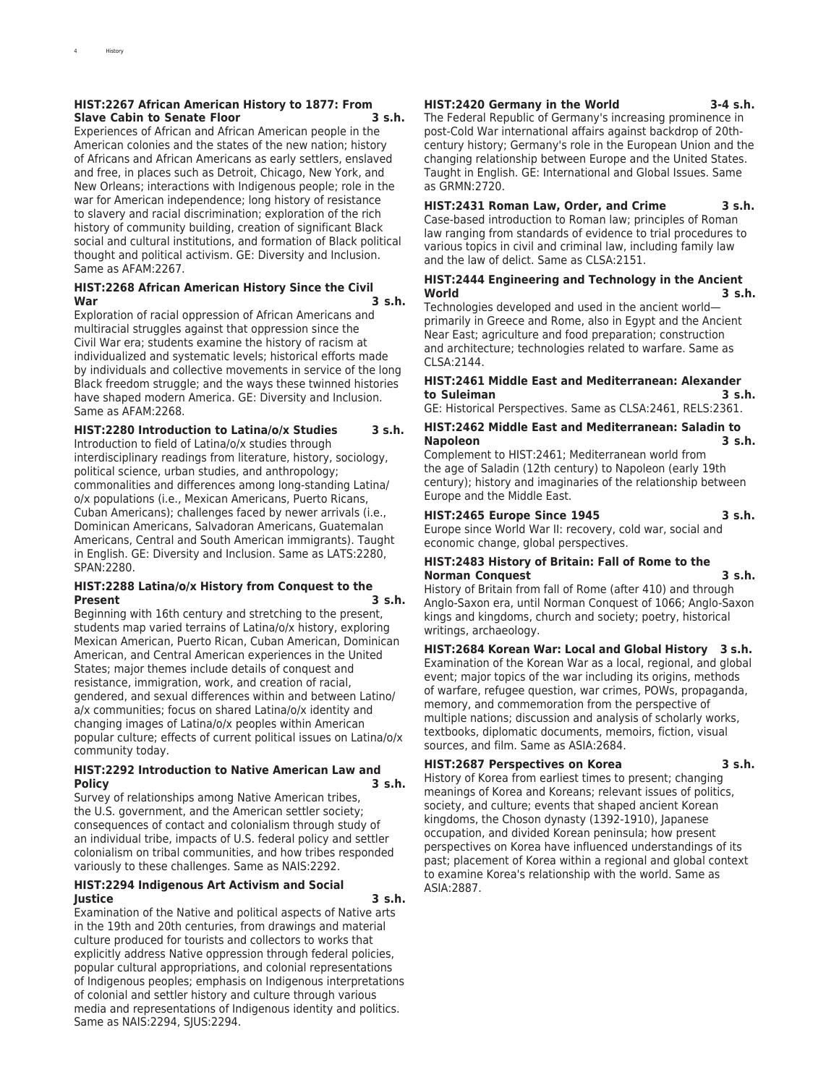### **HIST:2267 African American History to 1877: From Slave Cabin to Senate Floor 3 s.h.**

Experiences of African and African American people in the American colonies and the states of the new nation; history of Africans and African Americans as early settlers, enslaved and free, in places such as Detroit, Chicago, New York, and New Orleans; interactions with Indigenous people; role in the war for American independence; long history of resistance to slavery and racial discrimination; exploration of the rich history of community building, creation of significant Black social and cultural institutions, and formation of Black political thought and political activism. GE: Diversity and Inclusion. Same as AFAM:2267.

### **HIST:2268 African American History Since the Civil War 3 s.h.**

Exploration of racial oppression of African Americans and multiracial struggles against that oppression since the Civil War era; students examine the history of racism at individualized and systematic levels; historical efforts made by individuals and collective movements in service of the long Black freedom struggle; and the ways these twinned histories have shaped modern America. GE: Diversity and Inclusion. Same as AFAM:2268.

### **HIST:2280 Introduction to Latina/o/x Studies 3 s.h.**

Introduction to field of Latina/o/x studies through interdisciplinary readings from literature, history, sociology, political science, urban studies, and anthropology; commonalities and differences among long-standing Latina/ o/x populations (i.e., Mexican Americans, Puerto Ricans, Cuban Americans); challenges faced by newer arrivals (i.e., Dominican Americans, Salvadoran Americans, Guatemalan Americans, Central and South American immigrants). Taught in English. GE: Diversity and Inclusion. Same as LATS:2280, SPAN:2280.

### **HIST:2288 Latina/o/x History from Conquest to the Present 3 s.h.**

Beginning with 16th century and stretching to the present, students map varied terrains of Latina/o/x history, exploring Mexican American, Puerto Rican, Cuban American, Dominican American, and Central American experiences in the United States; major themes include details of conquest and resistance, immigration, work, and creation of racial, gendered, and sexual differences within and between Latino/ a/x communities; focus on shared Latina/o/x identity and changing images of Latina/o/x peoples within American popular culture; effects of current political issues on Latina/o/x community today.

### **HIST:2292 Introduction to Native American Law and Policy 3 s.h.**

Survey of relationships among Native American tribes, the U.S. government, and the American settler society; consequences of contact and colonialism through study of an individual tribe, impacts of U.S. federal policy and settler colonialism on tribal communities, and how tribes responded variously to these challenges. Same as NAIS:2292.

### **HIST:2294 Indigenous Art Activism and Social Justice 3 s.h.**

Examination of the Native and political aspects of Native arts in the 19th and 20th centuries, from drawings and material culture produced for tourists and collectors to works that explicitly address Native oppression through federal policies, popular cultural appropriations, and colonial representations of Indigenous peoples; emphasis on Indigenous interpretations of colonial and settler history and culture through various media and representations of Indigenous identity and politics. Same as NAIS:2294, SJUS:2294.

#### **HIST:2420 Germany in the World 3-4 s.h.**

The Federal Republic of Germany's increasing prominence in post-Cold War international affairs against backdrop of 20thcentury history; Germany's role in the European Union and the changing relationship between Europe and the United States. Taught in English. GE: International and Global Issues. Same as GRMN:2720.

### **HIST:2431 Roman Law, Order, and Crime 3 s.h.**

Case-based introduction to Roman law; principles of Roman law ranging from standards of evidence to trial procedures to various topics in civil and criminal law, including family law and the law of delict. Same as CLSA:2151.

### **HIST:2444 Engineering and Technology in the Ancient World 3 s.h.**

Technologies developed and used in the ancient world primarily in Greece and Rome, also in Egypt and the Ancient Near East; agriculture and food preparation; construction and architecture; technologies related to warfare. Same as CLSA:2144.

### **HIST:2461 Middle East and Mediterranean: Alexander to Suleiman 3 s.h.**

GE: Historical Perspectives. Same as CLSA:2461, RELS:2361.

### **HIST:2462 Middle East and Mediterranean: Saladin to Napoleon 3 s.h.**

Complement to HIST:2461; Mediterranean world from the age of Saladin (12th century) to Napoleon (early 19th century); history and imaginaries of the relationship between Europe and the Middle East.

### **HIST:2465 Europe Since 1945 3 s.h.**

Europe since World War II: recovery, cold war, social and economic change, global perspectives.

### **HIST:2483 History of Britain: Fall of Rome to the Norman Conquest 3 s.h.**

History of Britain from fall of Rome (after 410) and through Anglo-Saxon era, until Norman Conquest of 1066; Anglo-Saxon kings and kingdoms, church and society; poetry, historical writings, archaeology.

**HIST:2684 Korean War: Local and Global History 3 s.h.** Examination of the Korean War as a local, regional, and global event; major topics of the war including its origins, methods of warfare, refugee question, war crimes, POWs, propaganda, memory, and commemoration from the perspective of multiple nations; discussion and analysis of scholarly works, textbooks, diplomatic documents, memoirs, fiction, visual sources, and film. Same as ASIA:2684.

### **HIST:2687 Perspectives on Korea 3 s.h.**

History of Korea from earliest times to present; changing meanings of Korea and Koreans; relevant issues of politics, society, and culture; events that shaped ancient Korean kingdoms, the Choson dynasty (1392-1910), Japanese occupation, and divided Korean peninsula; how present perspectives on Korea have influenced understandings of its past; placement of Korea within a regional and global context to examine Korea's relationship with the world. Same as ASIA:2887.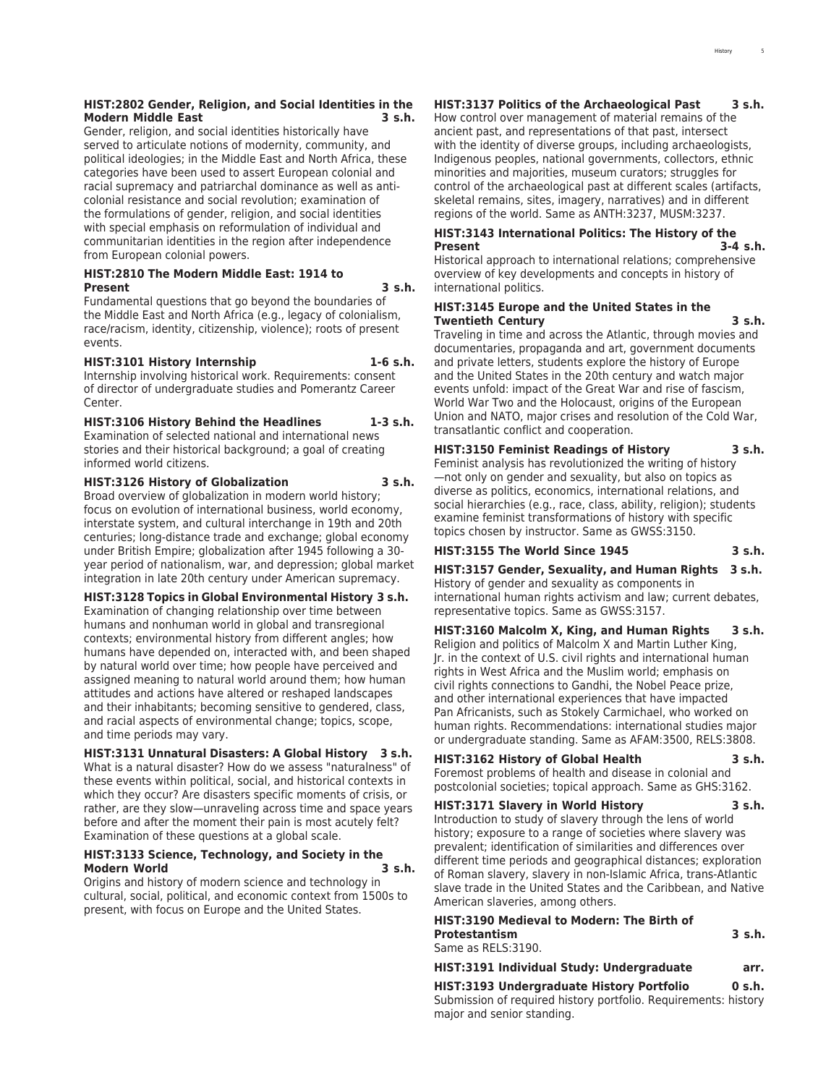### **HIST:2802 Gender, Religion, and Social Identities in the Modern Middle East 3 s.h.**

Gender, religion, and social identities historically have served to articulate notions of modernity, community, and political ideologies; in the Middle East and North Africa, these categories have been used to assert European colonial and racial supremacy and patriarchal dominance as well as anticolonial resistance and social revolution; examination of the formulations of gender, religion, and social identities with special emphasis on reformulation of individual and communitarian identities in the region after independence from European colonial powers.

### **HIST:2810 The Modern Middle East: 1914 to Present 3 s.h.**

Fundamental questions that go beyond the boundaries of the Middle East and North Africa (e.g., legacy of colonialism, race/racism, identity, citizenship, violence); roots of present events.

### **HIST:3101 History Internship 1-6 s.h.**

Internship involving historical work. Requirements: consent of director of undergraduate studies and Pomerantz Career Center.

### **HIST:3106 History Behind the Headlines 1-3 s.h.**

Examination of selected national and international news stories and their historical background; a goal of creating informed world citizens.

### **HIST:3126 History of Globalization 3 s.h.**

Broad overview of globalization in modern world history; focus on evolution of international business, world economy, interstate system, and cultural interchange in 19th and 20th centuries; long-distance trade and exchange; global economy under British Empire; globalization after 1945 following a 30 year period of nationalism, war, and depression; global market integration in late 20th century under American supremacy.

### **HIST:3128 Topics in Global Environmental History 3 s.h.**

Examination of changing relationship over time between humans and nonhuman world in global and transregional contexts; environmental history from different angles; how humans have depended on, interacted with, and been shaped by natural world over time; how people have perceived and assigned meaning to natural world around them; how human attitudes and actions have altered or reshaped landscapes and their inhabitants; becoming sensitive to gendered, class, and racial aspects of environmental change; topics, scope, and time periods may vary.

**HIST:3131 Unnatural Disasters: A Global History 3 s.h.** What is a natural disaster? How do we assess "naturalness" of these events within political, social, and historical contexts in which they occur? Are disasters specific moments of crisis, or rather, are they slow—unraveling across time and space years before and after the moment their pain is most acutely felt? Examination of these questions at a global scale.

### **HIST:3133 Science, Technology, and Society in the Modern World 3 s.h.**

Origins and history of modern science and technology in cultural, social, political, and economic context from 1500s to present, with focus on Europe and the United States.

### **HIST:3137 Politics of the Archaeological Past 3 s.h.**

How control over management of material remains of the ancient past, and representations of that past, intersect with the identity of diverse groups, including archaeologists, Indigenous peoples, national governments, collectors, ethnic minorities and majorities, museum curators; struggles for control of the archaeological past at different scales (artifacts, skeletal remains, sites, imagery, narratives) and in different regions of the world. Same as ANTH:3237, MUSM:3237.

### **HIST:3143 International Politics: The History of the Present 3-4 s.h.**

Historical approach to international relations; comprehensive overview of key developments and concepts in history of international politics.

### **HIST:3145 Europe and the United States in the Twentieth Century 3 s.h.**

Traveling in time and across the Atlantic, through movies and documentaries, propaganda and art, government documents and private letters, students explore the history of Europe and the United States in the 20th century and watch major events unfold: impact of the Great War and rise of fascism, World War Two and the Holocaust, origins of the European Union and NATO, major crises and resolution of the Cold War, transatlantic conflict and cooperation.

### **HIST:3150 Feminist Readings of History 3 s.h.** Feminist analysis has revolutionized the writing of history —not only on gender and sexuality, but also on topics as

diverse as politics, economics, international relations, and social hierarchies (e.g., race, class, ability, religion); students examine feminist transformations of history with specific topics chosen by instructor. Same as GWSS:3150.

### **HIST:3155 The World Since 1945 3 s.h.**

**HIST:3157 Gender, Sexuality, and Human Rights 3 s.h.** History of gender and sexuality as components in international human rights activism and law; current debates, representative topics. Same as GWSS:3157.

**HIST:3160 Malcolm X, King, and Human Rights 3 s.h.** Religion and politics of Malcolm X and Martin Luther King, Jr. in the context of U.S. civil rights and international human rights in West Africa and the Muslim world; emphasis on civil rights connections to Gandhi, the Nobel Peace prize, and other international experiences that have impacted Pan Africanists, such as Stokely Carmichael, who worked on human rights. Recommendations: international studies major or undergraduate standing. Same as AFAM:3500, RELS:3808.

**HIST:3162 History of Global Health 3 s.h.** Foremost problems of health and disease in colonial and postcolonial societies; topical approach. Same as GHS:3162.

### **HIST:3171 Slavery in World History 3 s.h.**

Introduction to study of slavery through the lens of world history; exposure to a range of societies where slavery was prevalent; identification of similarities and differences over different time periods and geographical distances; exploration of Roman slavery, slavery in non-Islamic Africa, trans-Atlantic slave trade in the United States and the Caribbean, and Native American slaveries, among others.

| <b>HIST:3190 Medieval to Modern: The Birth of</b> |        |
|---------------------------------------------------|--------|
| <b>Protestantism</b>                              | 3 s.h. |
| Same as RELS:3190.                                |        |
| $1116 = 2566 + 11111 + 16111 + 11111 + 11111$     |        |

| HIST:3191 Individual Study: Undergraduate | arr.   |
|-------------------------------------------|--------|
| HIST:3193 Undergraduate History Portfolio | 0 s.h. |

Submission of required history portfolio. Requirements: history major and senior standing.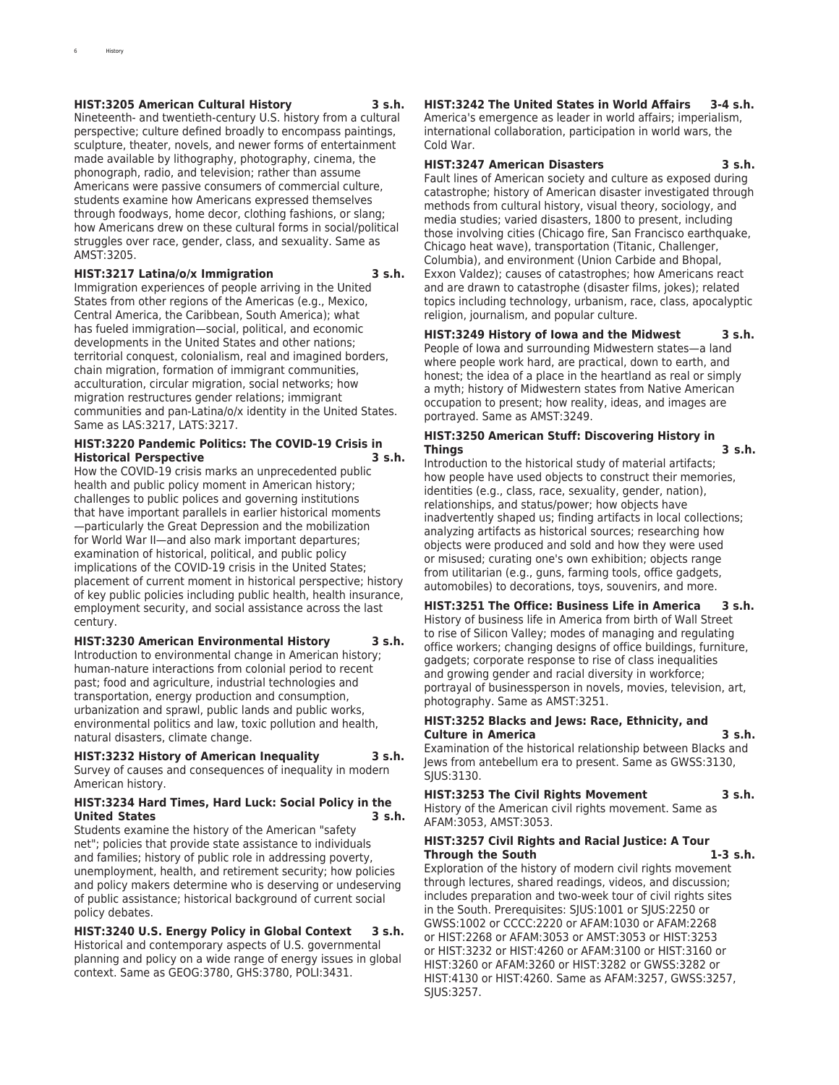### **HIST:3205 American Cultural History 3 s.h.**

Nineteenth- and twentieth-century U.S. history from a cultural perspective; culture defined broadly to encompass paintings, sculpture, theater, novels, and newer forms of entertainment made available by lithography, photography, cinema, the phonograph, radio, and television; rather than assume Americans were passive consumers of commercial culture, students examine how Americans expressed themselves through foodways, home decor, clothing fashions, or slang; how Americans drew on these cultural forms in social/political struggles over race, gender, class, and sexuality. Same as AMST:3205.

**HIST:3217 Latina/o/x Immigration 3 s.h.**

Immigration experiences of people arriving in the United States from other regions of the Americas (e.g., Mexico, Central America, the Caribbean, South America); what has fueled immigration—social, political, and economic developments in the United States and other nations; territorial conquest, colonialism, real and imagined borders, chain migration, formation of immigrant communities, acculturation, circular migration, social networks; how migration restructures gender relations; immigrant communities and pan-Latina/o/x identity in the United States. Same as LAS:3217, LATS:3217.

### **HIST:3220 Pandemic Politics: The COVID-19 Crisis in Historical Perspective**

How the COVID-19 crisis marks an unprecedented public health and public policy moment in American history; challenges to public polices and governing institutions that have important parallels in earlier historical moments —particularly the Great Depression and the mobilization for World War II—and also mark important departures; examination of historical, political, and public policy implications of the COVID-19 crisis in the United States; placement of current moment in historical perspective; history of key public policies including public health, health insurance, employment security, and social assistance across the last century.

### **HIST:3230 American Environmental History 3 s.h.** Introduction to environmental change in American history; human-nature interactions from colonial period to recent

past; food and agriculture, industrial technologies and transportation, energy production and consumption, urbanization and sprawl, public lands and public works, environmental politics and law, toxic pollution and health, natural disasters, climate change.

### **HIST:3232 History of American Inequality 3 s.h.**

Survey of causes and consequences of inequality in modern American history.

### **HIST:3234 Hard Times, Hard Luck: Social Policy in the United States 3 s.h.**

Students examine the history of the American "safety net"; policies that provide state assistance to individuals and families; history of public role in addressing poverty, unemployment, health, and retirement security; how policies and policy makers determine who is deserving or undeserving of public assistance; historical background of current social policy debates.

**HIST:3240 U.S. Energy Policy in Global Context 3 s.h.** Historical and contemporary aspects of U.S. governmental planning and policy on a wide range of energy issues in global context. Same as GEOG:3780, GHS:3780, POLI:3431.

### **HIST:3242 The United States in World Affairs 3-4 s.h.** America's emergence as leader in world affairs; imperialism,

international collaboration, participation in world wars, the Cold War.

# **HIST:3247 American Disasters 3 s.h.**

Fault lines of American society and culture as exposed during catastrophe; history of American disaster investigated through methods from cultural history, visual theory, sociology, and media studies; varied disasters, 1800 to present, including those involving cities (Chicago fire, San Francisco earthquake, Chicago heat wave), transportation (Titanic, Challenger, Columbia), and environment (Union Carbide and Bhopal, Exxon Valdez); causes of catastrophes; how Americans react and are drawn to catastrophe (disaster films, jokes); related topics including technology, urbanism, race, class, apocalyptic religion, journalism, and popular culture.

**HIST:3249 History of Iowa and the Midwest 3 s.h.** People of Iowa and surrounding Midwestern states—a land where people work hard, are practical, down to earth, and honest; the idea of a place in the heartland as real or simply a myth; history of Midwestern states from Native American occupation to present; how reality, ideas, and images are portrayed. Same as AMST:3249.

### **HIST:3250 American Stuff: Discovering History in Things 3 s.h.**

Introduction to the historical study of material artifacts; how people have used objects to construct their memories, identities (e.g., class, race, sexuality, gender, nation), relationships, and status/power; how objects have inadvertently shaped us; finding artifacts in local collections; analyzing artifacts as historical sources; researching how objects were produced and sold and how they were used or misused; curating one's own exhibition; objects range from utilitarian (e.g., guns, farming tools, office gadgets, automobiles) to decorations, toys, souvenirs, and more.

**HIST:3251 The Office: Business Life in America 3 s.h.** History of business life in America from birth of Wall Street to rise of Silicon Valley; modes of managing and regulating office workers; changing designs of office buildings, furniture, gadgets; corporate response to rise of class inequalities and growing gender and racial diversity in workforce; portrayal of businessperson in novels, movies, television, art, photography. Same as AMST:3251.

### **HIST:3252 Blacks and Jews: Race, Ethnicity, and Culture in America 3 s.h.**

Examination of the historical relationship between Blacks and Jews from antebellum era to present. Same as GWSS:3130, SJUS:3130.

### **HIST:3253 The Civil Rights Movement 3 s.h.** History of the American civil rights movement. Same as

AFAM:3053, AMST:3053.

**HIST:3257 Civil Rights and Racial Justice: A Tour**

**Through the South 1-3 s.h.** Exploration of the history of modern civil rights movement through lectures, shared readings, videos, and discussion; includes preparation and two-week tour of civil rights sites in the South. Prerequisites: SJUS:1001 or SJUS:2250 or GWSS:1002 or CCCC:2220 or AFAM:1030 or AFAM:2268 or HIST:2268 or AFAM:3053 or AMST:3053 or HIST:3253 or HIST:3232 or HIST:4260 or AFAM:3100 or HIST:3160 or HIST:3260 or AFAM:3260 or HIST:3282 or GWSS:3282 or HIST:4130 or HIST:4260. Same as AFAM:3257, GWSS:3257, SJUS:3257.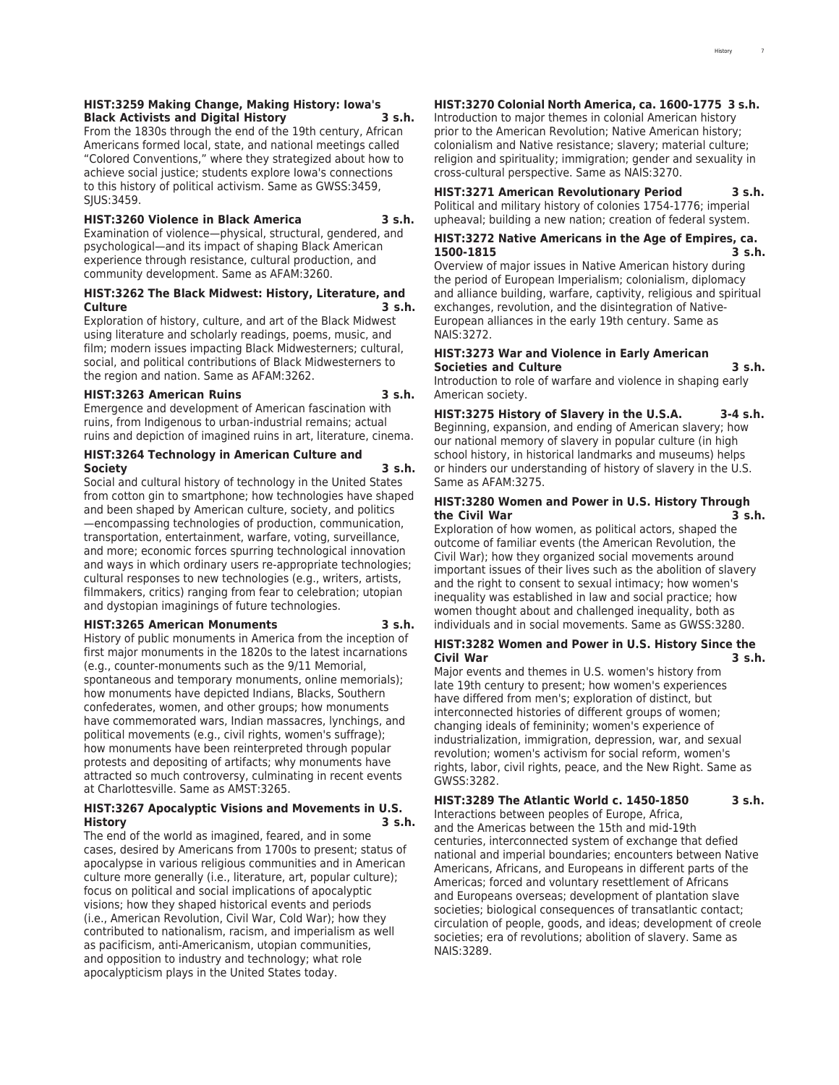### **HIST:3259 Making Change, Making History: Iowa's Black Activists and Digital History 3 s.h.**

From the 1830s through the end of the 19th century, African Americans formed local, state, and national meetings called "Colored Conventions," where they strategized about how to achieve social justice; students explore Iowa's connections to this history of political activism. Same as GWSS:3459, SJUS:3459.

### **HIST:3260 Violence in Black America 3 s.h.**

Examination of violence—physical, structural, gendered, and psychological—and its impact of shaping Black American experience through resistance, cultural production, and community development. Same as AFAM:3260.

### **HIST:3262 The Black Midwest: History, Literature, and Culture 3 s.h.**

Exploration of history, culture, and art of the Black Midwest using literature and scholarly readings, poems, music, and film; modern issues impacting Black Midwesterners; cultural, social, and political contributions of Black Midwesterners to the region and nation. Same as AFAM:3262.

#### **HIST:3263 American Ruins 3 s.h.**

Emergence and development of American fascination with ruins, from Indigenous to urban-industrial remains; actual ruins and depiction of imagined ruins in art, literature, cinema.

### **HIST:3264 Technology in American Culture and Society 3 s.h.**

Social and cultural history of technology in the United States from cotton gin to smartphone; how technologies have shaped and been shaped by American culture, society, and politics —encompassing technologies of production, communication, transportation, entertainment, warfare, voting, surveillance, and more; economic forces spurring technological innovation and ways in which ordinary users re-appropriate technologies; cultural responses to new technologies (e.g., writers, artists, filmmakers, critics) ranging from fear to celebration; utopian and dystopian imaginings of future technologies.

#### **HIST:3265 American Monuments 3 s.h.**

History of public monuments in America from the inception of first major monuments in the 1820s to the latest incarnations (e.g., counter-monuments such as the 9/11 Memorial, spontaneous and temporary monuments, online memorials); how monuments have depicted Indians, Blacks, Southern confederates, women, and other groups; how monuments have commemorated wars, Indian massacres, lynchings, and political movements (e.g., civil rights, women's suffrage); how monuments have been reinterpreted through popular protests and depositing of artifacts; why monuments have attracted so much controversy, culminating in recent events at Charlottesville. Same as AMST:3265.

### **HIST:3267 Apocalyptic Visions and Movements in U.S. History 3 s.h.**

The end of the world as imagined, feared, and in some cases, desired by Americans from 1700s to present; status of apocalypse in various religious communities and in American culture more generally (i.e., literature, art, popular culture); focus on political and social implications of apocalyptic visions; how they shaped historical events and periods (i.e., American Revolution, Civil War, Cold War); how they contributed to nationalism, racism, and imperialism as well as pacificism, anti-Americanism, utopian communities, and opposition to industry and technology; what role apocalypticism plays in the United States today.

### **HIST:3270 Colonial North America, ca. 1600-1775 3 s.h.**

Introduction to major themes in colonial American history prior to the American Revolution; Native American history; colonialism and Native resistance; slavery; material culture; religion and spirituality; immigration; gender and sexuality in cross-cultural perspective. Same as NAIS:3270.

### **HIST:3271 American Revolutionary Period 3 s.h.** Political and military history of colonies 1754-1776; imperial upheaval; building a new nation; creation of federal system.

### **HIST:3272 Native Americans in the Age of Empires, ca. 1500-1815 3 s.h.**

Overview of major issues in Native American history during the period of European Imperialism; colonialism, diplomacy and alliance building, warfare, captivity, religious and spiritual exchanges, revolution, and the disintegration of Native-European alliances in the early 19th century. Same as NAIS:3272.

#### **HIST:3273 War and Violence in Early American Societies and Culture 3 s.h.**

Introduction to role of warfare and violence in shaping early American society.

**HIST:3275 History of Slavery in the U.S.A. 3-4 s.h.** Beginning, expansion, and ending of American slavery; how our national memory of slavery in popular culture (in high school history, in historical landmarks and museums) helps or hinders our understanding of history of slavery in the U.S. Same as AFAM:3275.

### **HIST:3280 Women and Power in U.S. History Through the Civil War 3 s.h.**

Exploration of how women, as political actors, shaped the outcome of familiar events (the American Revolution, the Civil War); how they organized social movements around important issues of their lives such as the abolition of slavery and the right to consent to sexual intimacy; how women's inequality was established in law and social practice; how women thought about and challenged inequality, both as individuals and in social movements. Same as GWSS:3280.

### **HIST:3282 Women and Power in U.S. History Since the Civil War 3 s.h.**

Major events and themes in U.S. women's history from late 19th century to present; how women's experiences have differed from men's; exploration of distinct, but interconnected histories of different groups of women; changing ideals of femininity; women's experience of industrialization, immigration, depression, war, and sexual revolution; women's activism for social reform, women's rights, labor, civil rights, peace, and the New Right. Same as GWSS:3282.

### **HIST:3289 The Atlantic World c. 1450-1850 3 s.h.**

Interactions between peoples of Europe, Africa, and the Americas between the 15th and mid-19th centuries, interconnected system of exchange that defied national and imperial boundaries; encounters between Native Americans, Africans, and Europeans in different parts of the Americas; forced and voluntary resettlement of Africans and Europeans overseas; development of plantation slave societies; biological consequences of transatlantic contact; circulation of people, goods, and ideas; development of creole societies; era of revolutions; abolition of slavery. Same as NAIS:3289.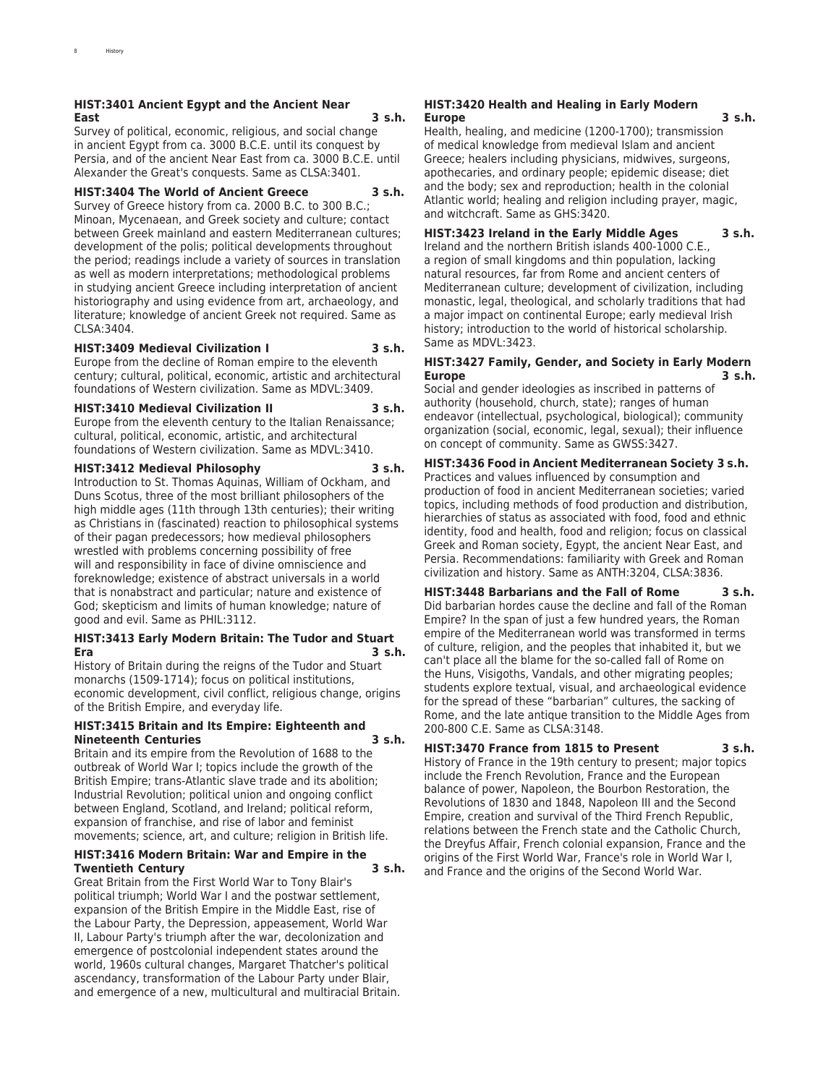### **HIST:3401 Ancient Egypt and the Ancient Near East 3 s.h.**

Survey of political, economic, religious, and social change in ancient Egypt from ca. 3000 B.C.E. until its conquest by Persia, and of the ancient Near East from ca. 3000 B.C.E. until Alexander the Great's conquests. Same as CLSA:3401.

### **HIST:3404 The World of Ancient Greece 3 s.h.**

Survey of Greece history from ca. 2000 B.C. to 300 B.C.; Minoan, Mycenaean, and Greek society and culture; contact between Greek mainland and eastern Mediterranean cultures; development of the polis; political developments throughout the period; readings include a variety of sources in translation as well as modern interpretations; methodological problems in studying ancient Greece including interpretation of ancient historiography and using evidence from art, archaeology, and literature; knowledge of ancient Greek not required. Same as CLSA:3404.

### **HIST:3409 Medieval Civilization I 3 s.h.**

Europe from the decline of Roman empire to the eleventh century; cultural, political, economic, artistic and architectural foundations of Western civilization. Same as MDVL:3409.

**HIST:3410 Medieval Civilization II 3 s.h.**

Europe from the eleventh century to the Italian Renaissance; cultural, political, economic, artistic, and architectural foundations of Western civilization. Same as MDVL:3410.

### **HIST:3412 Medieval Philosophy 3 s.h.**

Introduction to St. Thomas Aquinas, William of Ockham, and Duns Scotus, three of the most brilliant philosophers of the high middle ages (11th through 13th centuries); their writing as Christians in (fascinated) reaction to philosophical systems of their pagan predecessors; how medieval philosophers wrestled with problems concerning possibility of free will and responsibility in face of divine omniscience and foreknowledge; existence of abstract universals in a world that is nonabstract and particular; nature and existence of God; skepticism and limits of human knowledge; nature of good and evil. Same as PHIL:3112.

### **HIST:3413 Early Modern Britain: The Tudor and Stuart Era 3 s.h.**

History of Britain during the reigns of the Tudor and Stuart monarchs (1509-1714); focus on political institutions, economic development, civil conflict, religious change, origins of the British Empire, and everyday life.

### **HIST:3415 Britain and Its Empire: Eighteenth and Nineteenth Centuries 3 s.h.**

Britain and its empire from the Revolution of 1688 to the outbreak of World War I; topics include the growth of the British Empire; trans-Atlantic slave trade and its abolition; Industrial Revolution; political union and ongoing conflict between England, Scotland, and Ireland; political reform, expansion of franchise, and rise of labor and feminist movements; science, art, and culture; religion in British life.

### **HIST:3416 Modern Britain: War and Empire in the Twentieth Century 3 s.h.**

Great Britain from the First World War to Tony Blair's political triumph; World War I and the postwar settlement, expansion of the British Empire in the Middle East, rise of the Labour Party, the Depression, appeasement, World War II, Labour Party's triumph after the war, decolonization and emergence of postcolonial independent states around the world, 1960s cultural changes, Margaret Thatcher's political ascendancy, transformation of the Labour Party under Blair, and emergence of a new, multicultural and multiracial Britain.

### **HIST:3420 Health and Healing in Early Modern Europe 3 s.h.**

Health, healing, and medicine (1200-1700); transmission of medical knowledge from medieval Islam and ancient Greece; healers including physicians, midwives, surgeons, apothecaries, and ordinary people; epidemic disease; diet and the body; sex and reproduction; health in the colonial Atlantic world; healing and religion including prayer, magic, and witchcraft. Same as GHS:3420.

### **HIST:3423 Ireland in the Early Middle Ages 3 s.h.**

Ireland and the northern British islands 400-1000 C.E., a region of small kingdoms and thin population, lacking natural resources, far from Rome and ancient centers of Mediterranean culture; development of civilization, including monastic, legal, theological, and scholarly traditions that had a major impact on continental Europe; early medieval Irish history; introduction to the world of historical scholarship. Same as MDVL:3423.

### **HIST:3427 Family, Gender, and Society in Early Modern Europe 3 s.h.**

Social and gender ideologies as inscribed in patterns of authority (household, church, state); ranges of human endeavor (intellectual, psychological, biological); community organization (social, economic, legal, sexual); their influence on concept of community. Same as GWSS:3427.

**HIST:3436 Food in Ancient Mediterranean Society 3 s.h.** Practices and values influenced by consumption and production of food in ancient Mediterranean societies; varied topics, including methods of food production and distribution, hierarchies of status as associated with food, food and ethnic identity, food and health, food and religion; focus on classical Greek and Roman society, Egypt, the ancient Near East, and

Persia. Recommendations: familiarity with Greek and Roman civilization and history. Same as ANTH:3204, CLSA:3836. **HIST:3448 Barbarians and the Fall of Rome 3 s.h.** Did barbarian hordes cause the decline and fall of the Roman Empire? In the span of just a few hundred years, the Roman empire of the Mediterranean world was transformed in terms of culture, religion, and the peoples that inhabited it, but we

can't place all the blame for the so-called fall of Rome on the Huns, Visigoths, Vandals, and other migrating peoples; students explore textual, visual, and archaeological evidence for the spread of these "barbarian" cultures, the sacking of Rome, and the late antique transition to the Middle Ages from 200-800 C.E. Same as CLSA:3148.

### **HIST:3470 France from 1815 to Present 3 s.h.**

History of France in the 19th century to present; major topics include the French Revolution, France and the European balance of power, Napoleon, the Bourbon Restoration, the Revolutions of 1830 and 1848, Napoleon III and the Second Empire, creation and survival of the Third French Republic, relations between the French state and the Catholic Church, the Dreyfus Affair, French colonial expansion, France and the origins of the First World War, France's role in World War I, and France and the origins of the Second World War.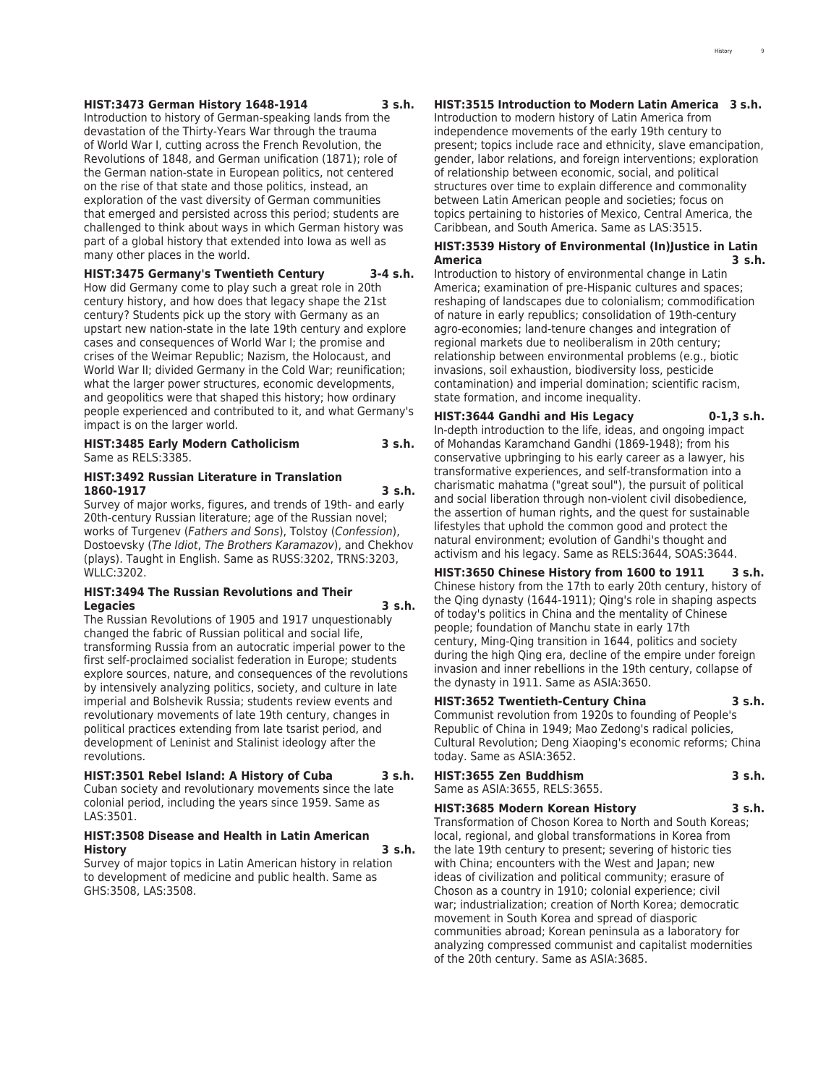### **HIST:3473 German History 1648-1914 3 s.h.**

Introduction to history of German-speaking lands from the devastation of the Thirty-Years War through the trauma of World War I, cutting across the French Revolution, the Revolutions of 1848, and German unification (1871); role of the German nation-state in European politics, not centered on the rise of that state and those politics, instead, an exploration of the vast diversity of German communities that emerged and persisted across this period; students are challenged to think about ways in which German history was part of a global history that extended into Iowa as well as many other places in the world.

**HIST:3475 Germany's Twentieth Century 3-4 s.h.**

How did Germany come to play such a great role in 20th century history, and how does that legacy shape the 21st century? Students pick up the story with Germany as an upstart new nation-state in the late 19th century and explore cases and consequences of World War I; the promise and crises of the Weimar Republic; Nazism, the Holocaust, and World War II; divided Germany in the Cold War; reunification; what the larger power structures, economic developments, and geopolitics were that shaped this history; how ordinary people experienced and contributed to it, and what Germany's impact is on the larger world.

### **HIST:3485 Early Modern Catholicism 3 s.h.** Same as RELS:3385.

### **HIST:3492 Russian Literature in Translation 1860-1917 3 s.h.**

Survey of major works, figures, and trends of 19th- and early 20th-century Russian literature; age of the Russian novel; works of Turgenev (*Fathers and Sons*), Tolstoy (*Confession*), Dostoevsky (*The Idiot*, *The Brothers Karamazov*), and Chekhov (plays). Taught in English. Same as RUSS:3202, TRNS:3203, WLLC:3202.

### **HIST:3494 The Russian Revolutions and Their Legacies 3 s.h.**

The Russian Revolutions of 1905 and 1917 unquestionably changed the fabric of Russian political and social life, transforming Russia from an autocratic imperial power to the first self-proclaimed socialist federation in Europe; students explore sources, nature, and consequences of the revolutions by intensively analyzing politics, society, and culture in late imperial and Bolshevik Russia; students review events and revolutionary movements of late 19th century, changes in political practices extending from late tsarist period, and development of Leninist and Stalinist ideology after the revolutions.

### **HIST:3501 Rebel Island: A History of Cuba 3 s.h.**

Cuban society and revolutionary movements since the late colonial period, including the years since 1959. Same as LAS:3501.

### **HIST:3508 Disease and Health in Latin American History 3 s.h.**

Survey of major topics in Latin American history in relation to development of medicine and public health. Same as GHS:3508, LAS:3508.

# **HIST:3515 Introduction to Modern Latin America 3 s.h.**

Introduction to modern history of Latin America from independence movements of the early 19th century to present; topics include race and ethnicity, slave emancipation, gender, labor relations, and foreign interventions; exploration of relationship between economic, social, and political structures over time to explain difference and commonality between Latin American people and societies; focus on topics pertaining to histories of Mexico, Central America, the Caribbean, and South America. Same as LAS:3515.

### **HIST:3539 History of Environmental (In)Justice in Latin America 3 s.h.**

Introduction to history of environmental change in Latin America; examination of pre-Hispanic cultures and spaces; reshaping of landscapes due to colonialism; commodification of nature in early republics; consolidation of 19th-century agro-economies; land-tenure changes and integration of regional markets due to neoliberalism in 20th century; relationship between environmental problems (e.g., biotic invasions, soil exhaustion, biodiversity loss, pesticide contamination) and imperial domination; scientific racism, state formation, and income inequality.

### **HIST:3644 Gandhi and His Legacy 0-1,3 s.h.**

In-depth introduction to the life, ideas, and ongoing impact of Mohandas Karamchand Gandhi (1869-1948); from his conservative upbringing to his early career as a lawyer, his transformative experiences, and self-transformation into a charismatic mahatma ("great soul"), the pursuit of political and social liberation through non-violent civil disobedience, the assertion of human rights, and the quest for sustainable lifestyles that uphold the common good and protect the natural environment; evolution of Gandhi's thought and activism and his legacy. Same as RELS:3644, SOAS:3644.

**HIST:3650 Chinese History from 1600 to 1911 3 s.h.** Chinese history from the 17th to early 20th century, history of the Qing dynasty (1644-1911); Qing's role in shaping aspects of today's politics in China and the mentality of Chinese people; foundation of Manchu state in early 17th century, Ming-Qing transition in 1644, politics and society during the high Qing era, decline of the empire under foreign invasion and inner rebellions in the 19th century, collapse of the dynasty in 1911. Same as ASIA:3650.

#### **HIST:3652 Twentieth-Century China 3 s.h.**

Communist revolution from 1920s to founding of People's Republic of China in 1949; Mao Zedong's radical policies, Cultural Revolution; Deng Xiaoping's economic reforms; China today. Same as ASIA:3652.

| HIST:3655 Zen Buddhism        | 3 s.h. |
|-------------------------------|--------|
| Same as ASIA:3655, RELS:3655. |        |

**HIST:3685 Modern Korean History 3 s.h.** Transformation of Choson Korea to North and South Koreas; local, regional, and global transformations in Korea from the late 19th century to present; severing of historic ties with China; encounters with the West and Japan; new ideas of civilization and political community; erasure of Choson as a country in 1910; colonial experience; civil war; industrialization; creation of North Korea; democratic movement in South Korea and spread of diasporic communities abroad; Korean peninsula as a laboratory for analyzing compressed communist and capitalist modernities of the 20th century. Same as ASIA:3685.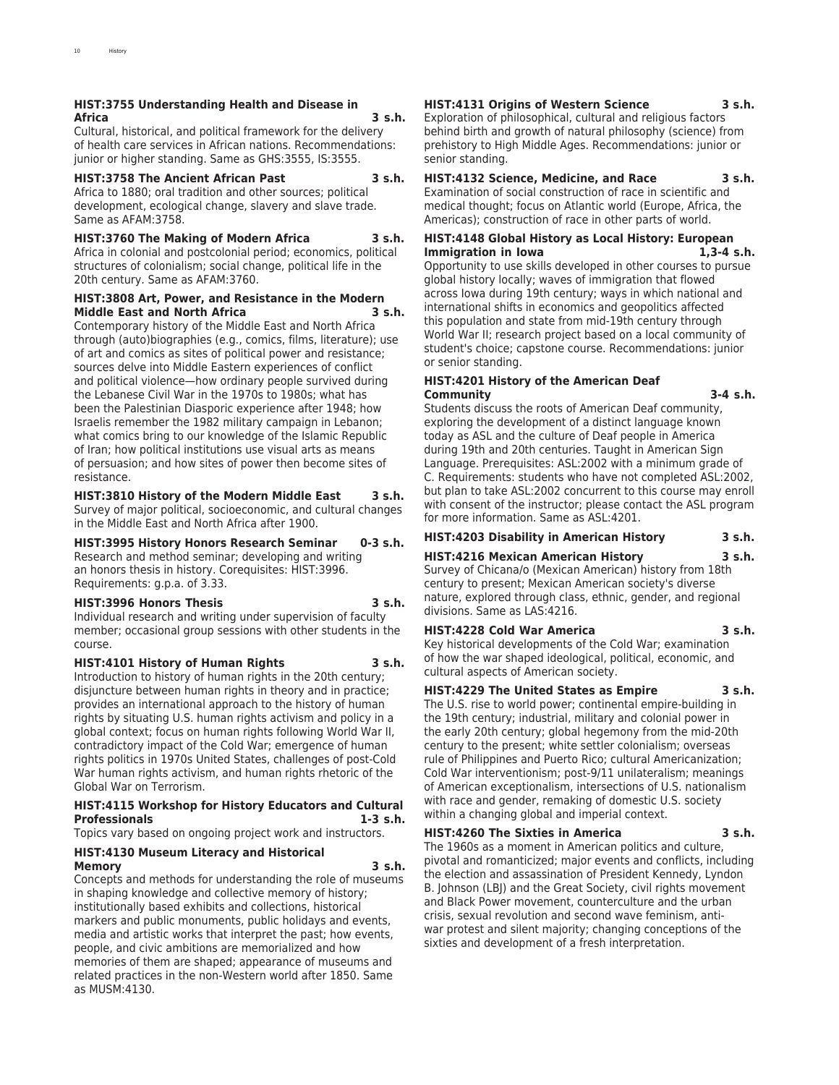### **HIST:3755 Understanding Health and Disease in Africa 3 s.h.**

Cultural, historical, and political framework for the delivery of health care services in African nations. Recommendations: junior or higher standing. Same as GHS:3555, IS:3555.

### **HIST:3758 The Ancient African Past 3 s.h.**

Africa to 1880; oral tradition and other sources; political development, ecological change, slavery and slave trade. Same as AFAM:3758.

### **HIST:3760 The Making of Modern Africa 3 s.h.**

Africa in colonial and postcolonial period; economics, political structures of colonialism; social change, political life in the 20th century. Same as AFAM:3760.

### **HIST:3808 Art, Power, and Resistance in the Modern Middle East and North Africa 3 s.h.**

Contemporary history of the Middle East and North Africa through (auto)biographies (e.g., comics, films, literature); use of art and comics as sites of political power and resistance; sources delve into Middle Eastern experiences of conflict and political violence—how ordinary people survived during the Lebanese Civil War in the 1970s to 1980s; what has been the Palestinian Diasporic experience after 1948; how Israelis remember the 1982 military campaign in Lebanon; what comics bring to our knowledge of the Islamic Republic of Iran; how political institutions use visual arts as means of persuasion; and how sites of power then become sites of resistance.

### **HIST:3810 History of the Modern Middle East 3 s.h.**

Survey of major political, socioeconomic, and cultural changes in the Middle East and North Africa after 1900.

### **HIST:3995 History Honors Research Seminar 0-3 s.h.**

Research and method seminar; developing and writing an honors thesis in history. Corequisites: HIST:3996. Requirements: g.p.a. of 3.33.

### **HIST:3996 Honors Thesis 3 s.h.**

Individual research and writing under supervision of faculty member; occasional group sessions with other students in the course.

### **HIST:4101 History of Human Rights 3 s.h.**

Introduction to history of human rights in the 20th century; disjuncture between human rights in theory and in practice; provides an international approach to the history of human rights by situating U.S. human rights activism and policy in a global context; focus on human rights following World War II, contradictory impact of the Cold War; emergence of human rights politics in 1970s United States, challenges of post-Cold War human rights activism, and human rights rhetoric of the Global War on Terrorism.

### **HIST:4115 Workshop for History Educators and Cultural Professionals 1-3 s.h.**

Topics vary based on ongoing project work and instructors.

### **HIST:4130 Museum Literacy and Historical**

### **Memory 3 s.h.**

Concepts and methods for understanding the role of museums in shaping knowledge and collective memory of history; institutionally based exhibits and collections, historical markers and public monuments, public holidays and events, media and artistic works that interpret the past; how events, people, and civic ambitions are memorialized and how memories of them are shaped; appearance of museums and related practices in the non-Western world after 1850. Same as MUSM:4130.

### **HIST:4131 Origins of Western Science 3 s.h.**

Exploration of philosophical, cultural and religious factors behind birth and growth of natural philosophy (science) from prehistory to High Middle Ages. Recommendations: junior or senior standing.

### **HIST:4132 Science, Medicine, and Race 3 s.h.**

Examination of social construction of race in scientific and medical thought; focus on Atlantic world (Europe, Africa, the Americas); construction of race in other parts of world.

### **HIST:4148 Global History as Local History: European Immigration in Iowa 1,3-4 s.h.**

Opportunity to use skills developed in other courses to pursue global history locally; waves of immigration that flowed across Iowa during 19th century; ways in which national and international shifts in economics and geopolitics affected this population and state from mid-19th century through World War II; research project based on a local community of student's choice; capstone course. Recommendations: junior or senior standing.

### **HIST:4201 History of the American Deaf Community 3-4 s.h.**

Students discuss the roots of American Deaf community, exploring the development of a distinct language known today as ASL and the culture of Deaf people in America during 19th and 20th centuries. Taught in American Sign Language. Prerequisites: ASL:2002 with a minimum grade of C. Requirements: students who have not completed ASL:2002, but plan to take ASL:2002 concurrent to this course may enroll with consent of the instructor; please contact the ASL program for more information. Same as ASL:4201.

### **HIST:4203 Disability in American History 3 s.h.**

### **HIST:4216 Mexican American History 3 s.h.**

Survey of Chicana/o (Mexican American) history from 18th century to present; Mexican American society's diverse nature, explored through class, ethnic, gender, and regional divisions. Same as LAS:4216.

### **HIST:4228 Cold War America 3 s.h.**

Key historical developments of the Cold War; examination of how the war shaped ideological, political, economic, and cultural aspects of American society.

### **HIST:4229 The United States as Empire 3 s.h.**

The U.S. rise to world power; continental empire-building in the 19th century; industrial, military and colonial power in the early 20th century; global hegemony from the mid-20th century to the present; white settler colonialism; overseas rule of Philippines and Puerto Rico; cultural Americanization; Cold War interventionism; post-9/11 unilateralism; meanings of American exceptionalism, intersections of U.S. nationalism with race and gender, remaking of domestic U.S. society within a changing global and imperial context.

### **HIST:4260 The Sixties in America 3 s.h.**

The 1960s as a moment in American politics and culture, pivotal and romanticized; major events and conflicts, including the election and assassination of President Kennedy, Lyndon B. Johnson (LBJ) and the Great Society, civil rights movement and Black Power movement, counterculture and the urban crisis, sexual revolution and second wave feminism, antiwar protest and silent majority; changing conceptions of the sixties and development of a fresh interpretation.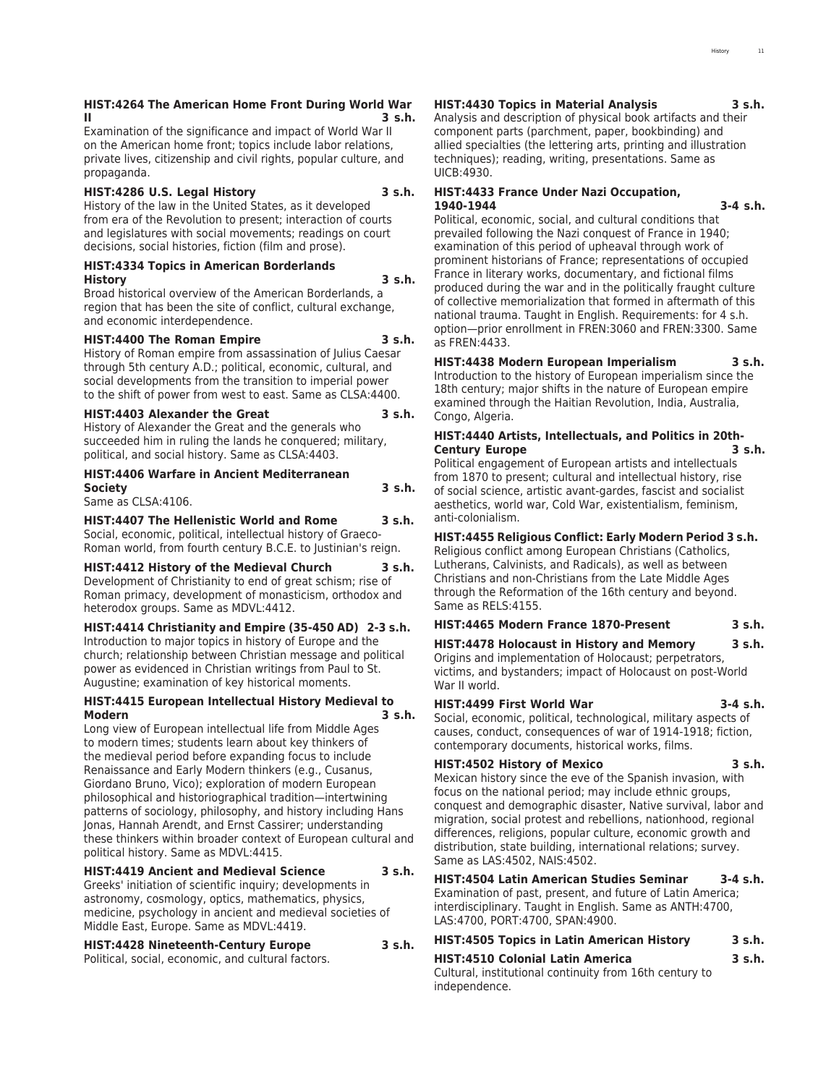### **HIST:4264 The American Home Front During World War II 3 s.h.**

Examination of the significance and impact of World War II on the American home front; topics include labor relations, private lives, citizenship and civil rights, popular culture, and propaganda.

### **HIST:4286 U.S. Legal History 3 s.h.**

History of the law in the United States, as it developed from era of the Revolution to present; interaction of courts and legislatures with social movements; readings on court decisions, social histories, fiction (film and prose).

### **HIST:4334 Topics in American Borderlands History 3 s.h.**

Broad historical overview of the American Borderlands, a region that has been the site of conflict, cultural exchange, and economic interdependence.

### **HIST:4400 The Roman Empire 3 s.h.**

History of Roman empire from assassination of Julius Caesar through 5th century A.D.; political, economic, cultural, and social developments from the transition to imperial power to the shift of power from west to east. Same as CLSA:4400.

### **HIST:4403 Alexander the Great 3 s.h.**

History of Alexander the Great and the generals who succeeded him in ruling the lands he conquered; military, political, and social history. Same as CLSA:4403.

### **HIST:4406 Warfare in Ancient Mediterranean Society 3 s.h.**

Same as CLSA:4106.

### **HIST:4407 The Hellenistic World and Rome 3 s.h.**

Social, economic, political, intellectual history of Graeco-Roman world, from fourth century B.C.E. to Justinian's reign.

### **HIST:4412 History of the Medieval Church 3 s.h.**

Development of Christianity to end of great schism; rise of Roman primacy, development of monasticism, orthodox and heterodox groups. Same as MDVL:4412.

### **HIST:4414 Christianity and Empire (35-450 AD) 2-3 s.h.**

Introduction to major topics in history of Europe and the church; relationship between Christian message and political power as evidenced in Christian writings from Paul to St. Augustine; examination of key historical moments.

### **HIST:4415 European Intellectual History Medieval to Modern 3 s.h.**

Long view of European intellectual life from Middle Ages to modern times; students learn about key thinkers of the medieval period before expanding focus to include Renaissance and Early Modern thinkers (e.g., Cusanus, Giordano Bruno, Vico); exploration of modern European philosophical and historiographical tradition—intertwining patterns of sociology, philosophy, and history including Hans Jonas, Hannah Arendt, and Ernst Cassirer; understanding these thinkers within broader context of European cultural and political history. Same as MDVL:4415.

### **HIST:4419 Ancient and Medieval Science 3 s.h.**

Greeks' initiation of scientific inquiry; developments in astronomy, cosmology, optics, mathematics, physics, medicine, psychology in ancient and medieval societies of Middle East, Europe. Same as MDVL:4419.

**HIST:4428 Nineteenth-Century Europe 3 s.h.** Political, social, economic, and cultural factors.

### **HIST:4430 Topics in Material Analysis 3 s.h.**

Analysis and description of physical book artifacts and their component parts (parchment, paper, bookbinding) and allied specialties (the lettering arts, printing and illustration techniques); reading, writing, presentations. Same as UICB:4930.

### **HIST:4433 France Under Nazi Occupation, 1940-1944 3-4 s.h.**

Political, economic, social, and cultural conditions that prevailed following the Nazi conquest of France in 1940; examination of this period of upheaval through work of prominent historians of France; representations of occupied France in literary works, documentary, and fictional films produced during the war and in the politically fraught culture of collective memorialization that formed in aftermath of this national trauma. Taught in English. Requirements: for 4 s.h. option—prior enrollment in FREN:3060 and FREN:3300. Same as FREN:4433.

**HIST:4438 Modern European Imperialism 3 s.h.** Introduction to the history of European imperialism since the 18th century; major shifts in the nature of European empire examined through the Haitian Revolution, India, Australia, Congo, Algeria.

### **HIST:4440 Artists, Intellectuals, and Politics in 20th-Century Europe 3 s.h.**

Political engagement of European artists and intellectuals from 1870 to present; cultural and intellectual history, rise of social science, artistic avant-gardes, fascist and socialist aesthetics, world war, Cold War, existentialism, feminism, anti-colonialism.

### **HIST:4455 Religious Conflict: Early Modern Period 3 s.h.**

Religious conflict among European Christians (Catholics, Lutherans, Calvinists, and Radicals), as well as between Christians and non-Christians from the Late Middle Ages through the Reformation of the 16th century and beyond. Same as RELS:4155.

### **HIST:4465 Modern France 1870-Present 3 s.h.**

**HIST:4478 Holocaust in History and Memory 3 s.h.** Origins and implementation of Holocaust; perpetrators, victims, and bystanders; impact of Holocaust on post-World War II world.

**HIST:4499 First World War 3-4 s.h.** Social, economic, political, technological, military aspects of causes, conduct, consequences of war of 1914-1918; fiction, contemporary documents, historical works, films.

### **HIST:4502 History of Mexico 3 s.h.**

Mexican history since the eve of the Spanish invasion, with focus on the national period; may include ethnic groups, conquest and demographic disaster, Native survival, labor and migration, social protest and rebellions, nationhood, regional differences, religions, popular culture, economic growth and distribution, state building, international relations; survey. Same as LAS:4502, NAIS:4502.

**HIST:4504 Latin American Studies Seminar 3-4 s.h.** Examination of past, present, and future of Latin America; interdisciplinary. Taught in English. Same as ANTH:4700, LAS:4700, PORT:4700, SPAN:4900.

### **HIST:4505 Topics in Latin American History 3 s.h.**

# **HIST:4510 Colonial Latin America 3 s.h.**

Cultural, institutional continuity from 16th century to independence.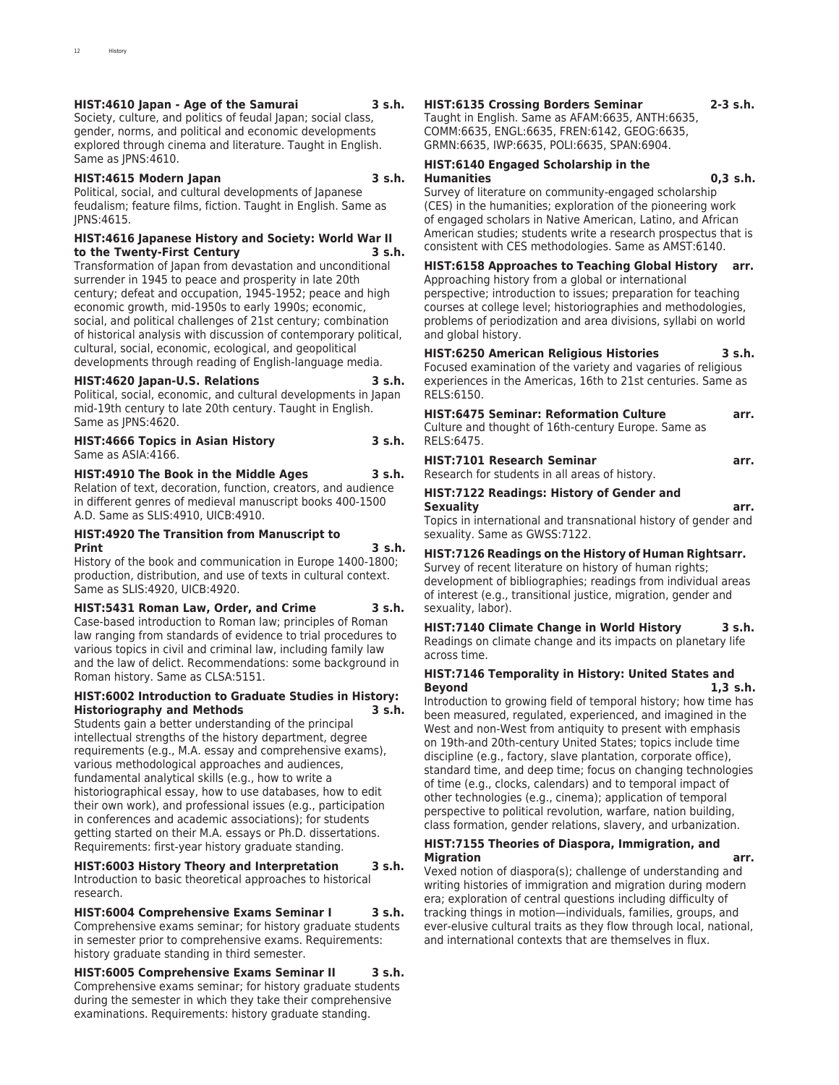### **HIST:4610 Japan - Age of the Samurai 3 s.h.**

Society, culture, and politics of feudal Japan; social class, gender, norms, and political and economic developments explored through cinema and literature. Taught in English. Same as JPNS:4610.

### **HIST:4615 Modern Japan 3 s.h.**

Political, social, and cultural developments of Japanese feudalism; feature films, fiction. Taught in English. Same as JPNS:4615.

### **HIST:4616 Japanese History and Society: World War II to the Twenty-First Century**

Transformation of Japan from devastation and unconditional surrender in 1945 to peace and prosperity in late 20th century; defeat and occupation, 1945-1952; peace and high economic growth, mid-1950s to early 1990s; economic, social, and political challenges of 21st century; combination of historical analysis with discussion of contemporary political, cultural, social, economic, ecological, and geopolitical developments through reading of English-language media.

### **HIST:4620 Japan-U.S. Relations 3 s.h.**

Political, social, economic, and cultural developments in Japan mid-19th century to late 20th century. Taught in English. Same as JPNS:4620.

#### **HIST:4666 Topics in Asian History 3 s.h.** Same as ASIA:4166.

### **HIST:4910 The Book in the Middle Ages 3 s.h.**

Relation of text, decoration, function, creators, and audience in different genres of medieval manuscript books 400-1500 A.D. Same as SLIS:4910, UICB:4910.

### **HIST:4920 The Transition from Manuscript to Print 3 s.h.**

History of the book and communication in Europe 1400-1800; production, distribution, and use of texts in cultural context. Same as SLIS:4920, UICB:4920.

### **HIST:5431 Roman Law, Order, and Crime 3 s.h.**

Case-based introduction to Roman law; principles of Roman law ranging from standards of evidence to trial procedures to various topics in civil and criminal law, including family law and the law of delict. Recommendations: some background in Roman history. Same as CLSA:5151.

### **HIST:6002 Introduction to Graduate Studies in History: Historiography and Methods 3 s.h.**

Students gain a better understanding of the principal intellectual strengths of the history department, degree requirements (e.g., M.A. essay and comprehensive exams), various methodological approaches and audiences, fundamental analytical skills (e.g., how to write a historiographical essay, how to use databases, how to edit their own work), and professional issues (e.g., participation in conferences and academic associations); for students getting started on their M.A. essays or Ph.D. dissertations. Requirements: first-year history graduate standing.

**HIST:6003 History Theory and Interpretation 3 s.h.** Introduction to basic theoretical approaches to historical research.

# **HIST:6004 Comprehensive Exams Seminar I 3 s.h.**

Comprehensive exams seminar; for history graduate students in semester prior to comprehensive exams. Requirements: history graduate standing in third semester.

**HIST:6005 Comprehensive Exams Seminar II 3 s.h.** Comprehensive exams seminar; for history graduate students during the semester in which they take their comprehensive examinations. Requirements: history graduate standing.

### **HIST:6135 Crossing Borders Seminar 2-3 s.h.**

Taught in English. Same as AFAM:6635, ANTH:6635, COMM:6635, ENGL:6635, FREN:6142, GEOG:6635, GRMN:6635, IWP:6635, POLI:6635, SPAN:6904.

### **HIST:6140 Engaged Scholarship in the Humanities 0,3 s.h.**

Survey of literature on community-engaged scholarship (CES) in the humanities; exploration of the pioneering work of engaged scholars in Native American, Latino, and African American studies; students write a research prospectus that is consistent with CES methodologies. Same as AMST:6140.

### **HIST:6158 Approaches to Teaching Global History arr.**

Approaching history from a global or international perspective; introduction to issues; preparation for teaching courses at college level; historiographies and methodologies, problems of periodization and area divisions, syllabi on world and global history.

### **HIST:6250 American Religious Histories 3 s.h.**

Focused examination of the variety and vagaries of religious experiences in the Americas, 16th to 21st centuries. Same as RELS:6150.

| <b>HIST:6475 Seminar: Reformation Culture</b><br>Culture and thought of 16th-century Europe. Same as<br>RELS:6475.                                                                                                                                                                                                                 | arr. |
|------------------------------------------------------------------------------------------------------------------------------------------------------------------------------------------------------------------------------------------------------------------------------------------------------------------------------------|------|
| <b>HIST:7101 Research Seminar</b><br>Research for students in all areas of history.                                                                                                                                                                                                                                                | arr. |
| $\mathbf{H}$ $\mathbf{H}$ $\mathbf{H}$ $\mathbf{H}$ $\mathbf{H}$ $\mathbf{H}$ $\mathbf{H}$ $\mathbf{H}$ $\mathbf{H}$ $\mathbf{H}$ $\mathbf{H}$ $\mathbf{H}$ $\mathbf{H}$ $\mathbf{H}$ $\mathbf{H}$ $\mathbf{H}$ $\mathbf{H}$ $\mathbf{H}$ $\mathbf{H}$ $\mathbf{H}$ $\mathbf{H}$ $\mathbf{H}$ $\mathbf{H}$ $\mathbf{H}$ $\mathbf{$ |      |

### **HIST:7122 Readings: History of Gender and Sexuality arr.**

Topics in international and transnational history of gender and sexuality. Same as GWSS:7122.

### **HIST:7126 Readings on the History of Human Rightsarr.**

Survey of recent literature on history of human rights; development of bibliographies; readings from individual areas of interest (e.g., transitional justice, migration, gender and sexuality, labor).

**HIST:7140 Climate Change in World History 3 s.h.** Readings on climate change and its impacts on planetary life across time.

### **HIST:7146 Temporality in History: United States and Beyond 1,3 s.h.**

Introduction to growing field of temporal history; how time has been measured, regulated, experienced, and imagined in the West and non-West from antiquity to present with emphasis on 19th-and 20th-century United States; topics include time discipline (e.g., factory, slave plantation, corporate office), standard time, and deep time; focus on changing technologies of time (e.g., clocks, calendars) and to temporal impact of other technologies (e.g., cinema); application of temporal perspective to political revolution, warfare, nation building, class formation, gender relations, slavery, and urbanization.

### **HIST:7155 Theories of Diaspora, Immigration, and Migration arr.**

Vexed notion of diaspora(s); challenge of understanding and writing histories of immigration and migration during modern era; exploration of central questions including difficulty of tracking things in motion—individuals, families, groups, and ever-elusive cultural traits as they flow through local, national, and international contexts that are themselves in flux.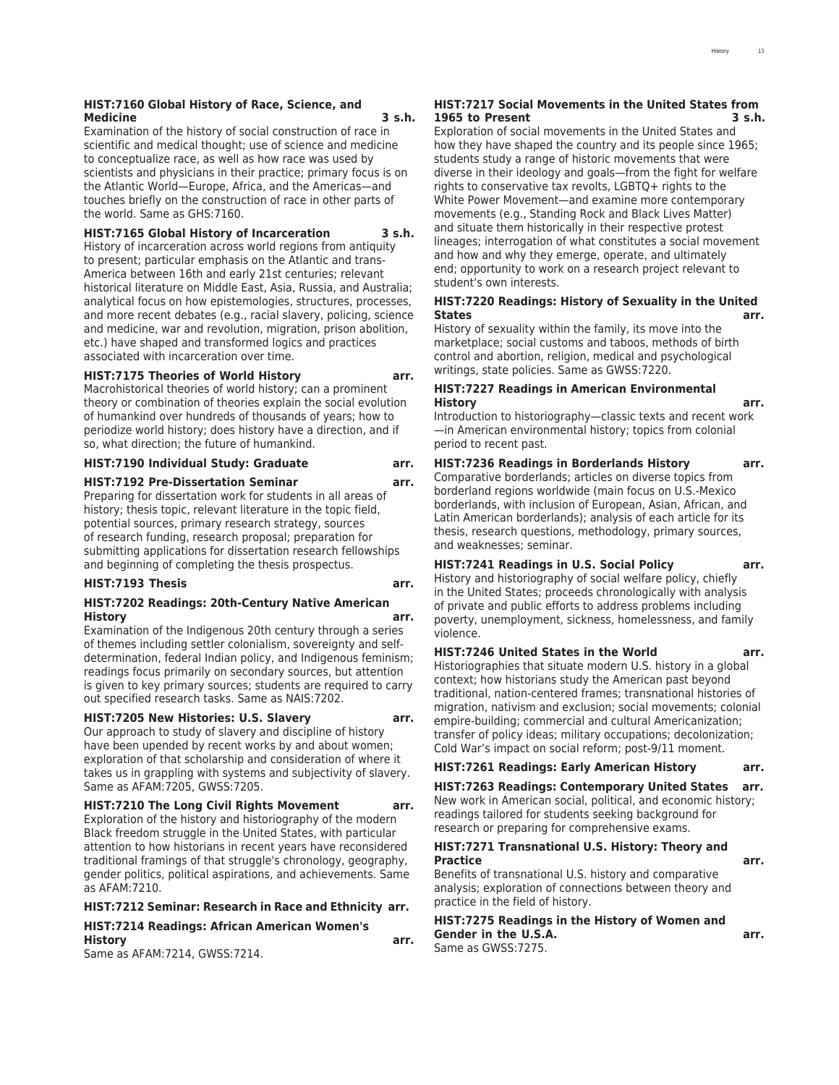### **HIST:7160 Global History of Race, Science, and Medicine 3 s.h.**

Examination of the history of social construction of race in scientific and medical thought; use of science and medicine to conceptualize race, as well as how race was used by scientists and physicians in their practice; primary focus is on the Atlantic World—Europe, Africa, and the Americas—and touches briefly on the construction of race in other parts of the world. Same as GHS:7160.

### **HIST:7165 Global History of Incarceration 3 s.h.**

History of incarceration across world regions from antiquity to present; particular emphasis on the Atlantic and trans-America between 16th and early 21st centuries; relevant historical literature on Middle East, Asia, Russia, and Australia; analytical focus on how epistemologies, structures, processes, and more recent debates (e.g., racial slavery, policing, science and medicine, war and revolution, migration, prison abolition, etc.) have shaped and transformed logics and practices associated with incarceration over time.

### **HIST:7175 Theories of World History arr.**

Macrohistorical theories of world history; can a prominent theory or combination of theories explain the social evolution of humankind over hundreds of thousands of years; how to periodize world history; does history have a direction, and if so, what direction; the future of humankind.

#### **HIST:7190 Individual Study: Graduate arr.**

#### **HIST:7192 Pre-Dissertation Seminar arr.**

Preparing for dissertation work for students in all areas of history; thesis topic, relevant literature in the topic field, potential sources, primary research strategy, sources of research funding, research proposal; preparation for submitting applications for dissertation research fellowships and beginning of completing the thesis prospectus.

### **HIST:7193 Thesis arr.**

### **HIST:7202 Readings: 20th-Century Native American History arr.**

Examination of the Indigenous 20th century through a series of themes including settler colonialism, sovereignty and selfdetermination, federal Indian policy, and Indigenous feminism; readings focus primarily on secondary sources, but attention is given to key primary sources; students are required to carry out specified research tasks. Same as NAIS:7202.

### **HIST:7205 New Histories: U.S. Slavery arr.**

Our approach to study of slavery and discipline of history have been upended by recent works by and about women; exploration of that scholarship and consideration of where it takes us in grappling with systems and subjectivity of slavery. Same as AFAM:7205, GWSS:7205.

### **HIST:7210 The Long Civil Rights Movement arr.**

Exploration of the history and historiography of the modern Black freedom struggle in the United States, with particular attention to how historians in recent years have reconsidered traditional framings of that struggle's chronology, geography, gender politics, political aspirations, and achievements. Same as AFAM:7210.

#### **HIST:7212 Seminar: Research in Race and Ethnicity arr.**

### **HIST:7214 Readings: African American Women's History arr.**

Same as AFAM:7214, GWSS:7214.

### **HIST:7217 Social Movements in the United States from 1965 to Present 3 s.h.**

Exploration of social movements in the United States and how they have shaped the country and its people since 1965; students study a range of historic movements that were diverse in their ideology and goals—from the fight for welfare rights to conservative tax revolts, LGBTQ+ rights to the White Power Movement—and examine more contemporary movements (e.g., Standing Rock and Black Lives Matter) and situate them historically in their respective protest lineages; interrogation of what constitutes a social movement and how and why they emerge, operate, and ultimately end; opportunity to work on a research project relevant to student's own interests.

### **HIST:7220 Readings: History of Sexuality in the United States arr.**

History of sexuality within the family, its move into the marketplace; social customs and taboos, methods of birth control and abortion, religion, medical and psychological writings, state policies. Same as GWSS:7220.

### **HIST:7227 Readings in American Environmental History arr.**

Introduction to historiography—classic texts and recent work —in American environmental history; topics from colonial period to recent past.

**HIST:7236 Readings in Borderlands History arr.** Comparative borderlands; articles on diverse topics from borderland regions worldwide (main focus on U.S.-Mexico borderlands, with inclusion of European, Asian, African, and Latin American borderlands); analysis of each article for its thesis, research questions, methodology, primary sources, and weaknesses; seminar.

**HIST:7241 Readings in U.S. Social Policy arr.** History and historiography of social welfare policy, chiefly in the United States; proceeds chronologically with analysis of private and public efforts to address problems including poverty, unemployment, sickness, homelessness, and family violence.

**HIST:7246 United States in the World arr.** Historiographies that situate modern U.S. history in a global context; how historians study the American past beyond traditional, nation-centered frames; transnational histories of migration, nativism and exclusion; social movements; colonial empire-building; commercial and cultural Americanization; transfer of policy ideas; military occupations; decolonization; Cold War's impact on social reform; post-9/11 moment.

### **HIST:7261 Readings: Early American History arr.**

**HIST:7263 Readings: Contemporary United States arr.** New work in American social, political, and economic history; readings tailored for students seeking background for research or preparing for comprehensive exams.

### **HIST:7271 Transnational U.S. History: Theory and Practice arr.**

Benefits of transnational U.S. history and comparative analysis; exploration of connections between theory and practice in the field of history.

### **HIST:7275 Readings in the History of Women and Gender in the U.S.A. arr.**

Same as GWSS:7275.